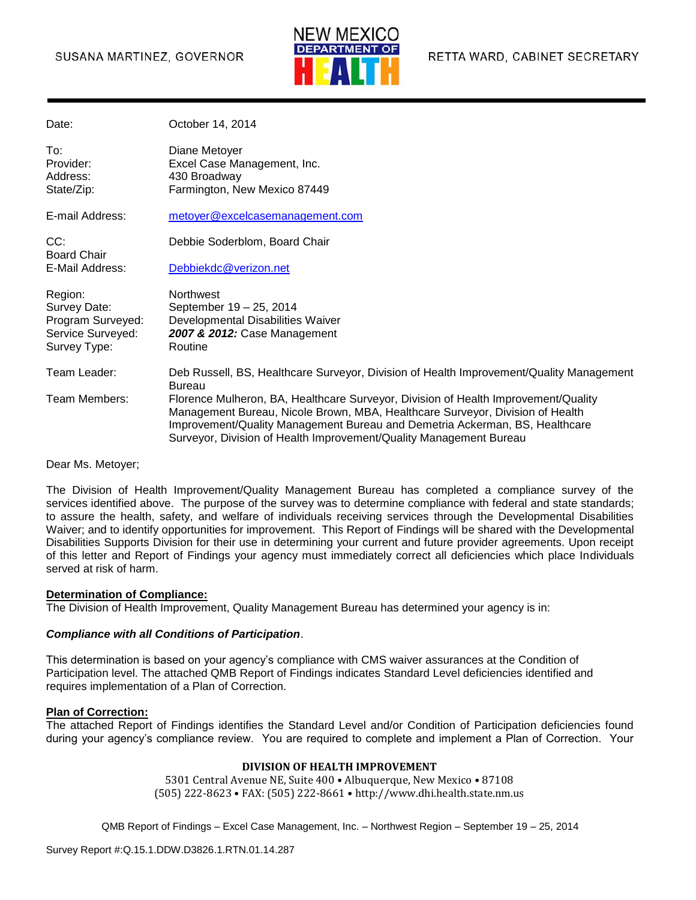### SUSANA MARTINEZ, GOVERNOR



| Date:                                      | October 14, 2014                                                                                                                                                                                                                                                                                                         |
|--------------------------------------------|--------------------------------------------------------------------------------------------------------------------------------------------------------------------------------------------------------------------------------------------------------------------------------------------------------------------------|
| To:<br>Provider:<br>Address:<br>State/Zip: | Diane Metoyer<br>Excel Case Management, Inc.<br>430 Broadway<br>Farmington, New Mexico 87449                                                                                                                                                                                                                             |
| E-mail Address:                            | metoyer@excelcasemanagement.com                                                                                                                                                                                                                                                                                          |
| CC:<br><b>Board Chair</b>                  | Debbie Soderblom, Board Chair                                                                                                                                                                                                                                                                                            |
| E-Mail Address:                            | Debbiekdc@verizon.net                                                                                                                                                                                                                                                                                                    |
| Region:                                    | <b>Northwest</b>                                                                                                                                                                                                                                                                                                         |
| Survey Date:<br>Program Surveyed:          | September 19 - 25, 2014<br>Developmental Disabilities Waiver                                                                                                                                                                                                                                                             |
| Service Surveyed:<br>Survey Type:          | 2007 & 2012: Case Management<br>Routine                                                                                                                                                                                                                                                                                  |
|                                            |                                                                                                                                                                                                                                                                                                                          |
| Team Leader:                               | Deb Russell, BS, Healthcare Surveyor, Division of Health Improvement/Quality Management<br>Bureau                                                                                                                                                                                                                        |
| Team Members:                              | Florence Mulheron, BA, Healthcare Surveyor, Division of Health Improvement/Quality<br>Management Bureau, Nicole Brown, MBA, Healthcare Surveyor, Division of Health<br>Improvement/Quality Management Bureau and Demetria Ackerman, BS, Healthcare<br>Surveyor, Division of Health Improvement/Quality Management Bureau |

Dear Ms. Metoyer;

The Division of Health Improvement/Quality Management Bureau has completed a compliance survey of the services identified above. The purpose of the survey was to determine compliance with federal and state standards; to assure the health, safety, and welfare of individuals receiving services through the Developmental Disabilities Waiver; and to identify opportunities for improvement. This Report of Findings will be shared with the Developmental Disabilities Supports Division for their use in determining your current and future provider agreements. Upon receipt of this letter and Report of Findings your agency must immediately correct all deficiencies which place Individuals served at risk of harm.

#### **Determination of Compliance:**

The Division of Health Improvement, Quality Management Bureau has determined your agency is in:

#### *Compliance with all Conditions of Participation*.

This determination is based on your agency's compliance with CMS waiver assurances at the Condition of Participation level. The attached QMB Report of Findings indicates Standard Level deficiencies identified and requires implementation of a Plan of Correction.

#### **Plan of Correction:**

The attached Report of Findings identifies the Standard Level and/or Condition of Participation deficiencies found during your agency's compliance review. You are required to complete and implement a Plan of Correction. Your

#### **DIVISION OF HEALTH IMPROVEMENT**

5301 Central Avenue NE, Suite 400 • Albuquerque, New Mexico • 87108 (505) 222-8623 • FAX: (505) 222-8661 • http://www.dhi.health.state.nm.us

```
QMB Report of Findings – Excel Case Management, Inc. – Northwest Region – September 19 – 25, 2014
```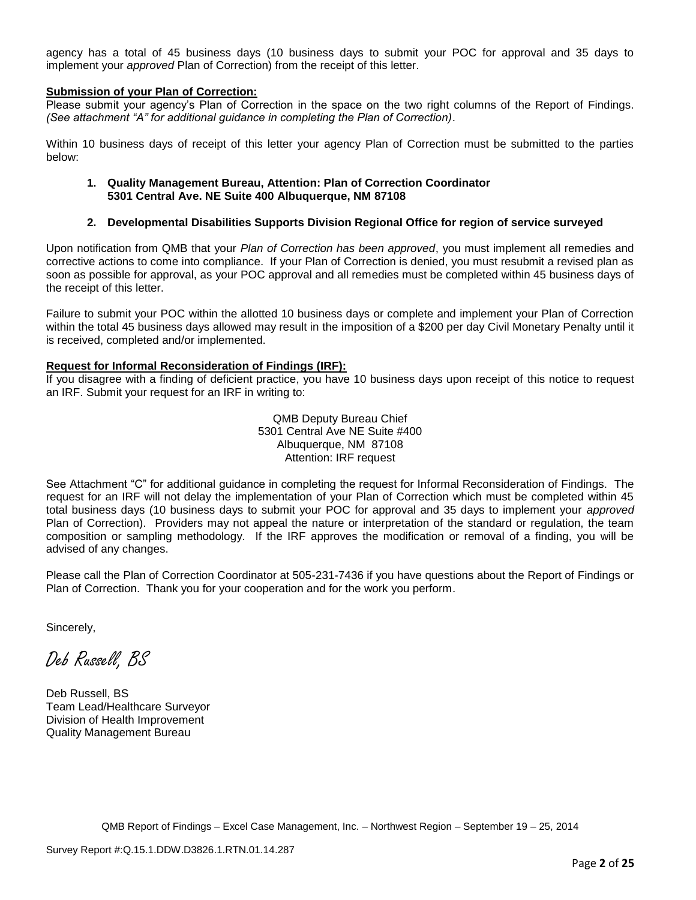agency has a total of 45 business days (10 business days to submit your POC for approval and 35 days to implement your *approved* Plan of Correction) from the receipt of this letter.

#### **Submission of your Plan of Correction:**

Please submit your agency's Plan of Correction in the space on the two right columns of the Report of Findings. *(See attachment "A" for additional guidance in completing the Plan of Correction)*.

Within 10 business days of receipt of this letter your agency Plan of Correction must be submitted to the parties below:

#### **1. Quality Management Bureau, Attention: Plan of Correction Coordinator 5301 Central Ave. NE Suite 400 Albuquerque, NM 87108**

#### **2. Developmental Disabilities Supports Division Regional Office for region of service surveyed**

Upon notification from QMB that your *Plan of Correction has been approved*, you must implement all remedies and corrective actions to come into compliance. If your Plan of Correction is denied, you must resubmit a revised plan as soon as possible for approval, as your POC approval and all remedies must be completed within 45 business days of the receipt of this letter.

Failure to submit your POC within the allotted 10 business days or complete and implement your Plan of Correction within the total 45 business days allowed may result in the imposition of a \$200 per day Civil Monetary Penalty until it is received, completed and/or implemented.

#### **Request for Informal Reconsideration of Findings (IRF):**

If you disagree with a finding of deficient practice, you have 10 business days upon receipt of this notice to request an IRF. Submit your request for an IRF in writing to:

> QMB Deputy Bureau Chief 5301 Central Ave NE Suite #400 Albuquerque, NM 87108 Attention: IRF request

See Attachment "C" for additional guidance in completing the request for Informal Reconsideration of Findings. The request for an IRF will not delay the implementation of your Plan of Correction which must be completed within 45 total business days (10 business days to submit your POC for approval and 35 days to implement your *approved* Plan of Correction). Providers may not appeal the nature or interpretation of the standard or regulation, the team composition or sampling methodology. If the IRF approves the modification or removal of a finding, you will be advised of any changes.

Please call the Plan of Correction Coordinator at 505-231-7436 if you have questions about the Report of Findings or Plan of Correction. Thank you for your cooperation and for the work you perform.

Sincerely,

Deb Russell, BS

Deb Russell, BS Team Lead/Healthcare Surveyor Division of Health Improvement Quality Management Bureau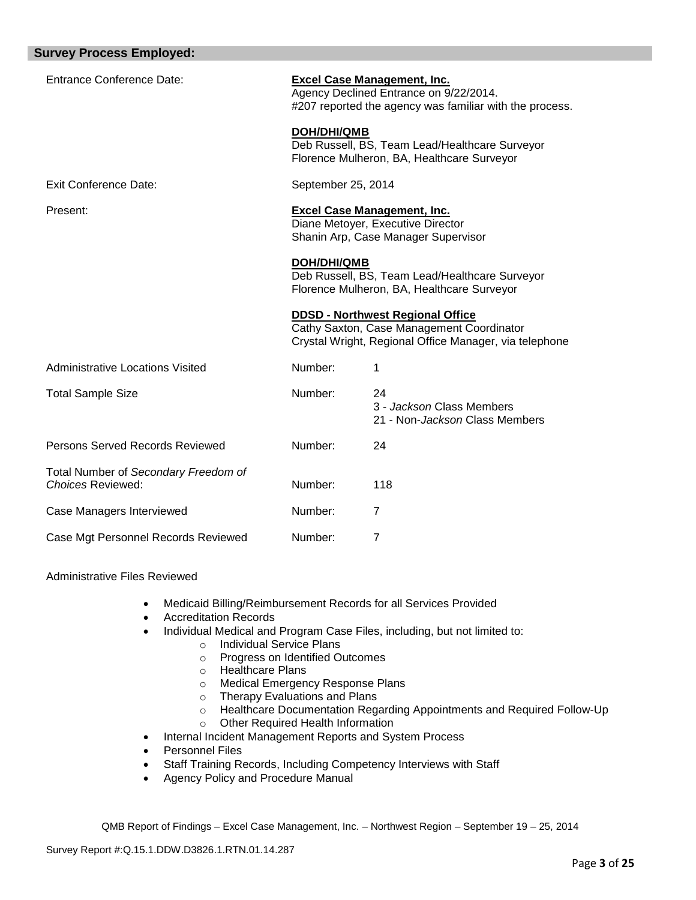| <b>Survey Process Employed:</b>                           |                                                                                                                                         |                                                                                                                                                |
|-----------------------------------------------------------|-----------------------------------------------------------------------------------------------------------------------------------------|------------------------------------------------------------------------------------------------------------------------------------------------|
| <b>Entrance Conference Date:</b>                          | <b>Excel Case Management, Inc.</b><br>Agency Declined Entrance on 9/22/2014.<br>#207 reported the agency was familiar with the process. |                                                                                                                                                |
|                                                           | <b>DOH/DHI/QMB</b>                                                                                                                      | Deb Russell, BS, Team Lead/Healthcare Surveyor<br>Florence Mulheron, BA, Healthcare Surveyor                                                   |
| <b>Exit Conference Date:</b>                              | September 25, 2014                                                                                                                      |                                                                                                                                                |
| Present:                                                  |                                                                                                                                         | <b>Excel Case Management, Inc.</b><br>Diane Metoyer, Executive Director<br>Shanin Arp, Case Manager Supervisor                                 |
|                                                           | <b>DOH/DHI/QMB</b>                                                                                                                      | Deb Russell, BS, Team Lead/Healthcare Surveyor<br>Florence Mulheron, BA, Healthcare Surveyor                                                   |
|                                                           |                                                                                                                                         | <b>DDSD - Northwest Regional Office</b><br>Cathy Saxton, Case Management Coordinator<br>Crystal Wright, Regional Office Manager, via telephone |
| Administrative Locations Visited                          | Number:                                                                                                                                 | 1                                                                                                                                              |
| <b>Total Sample Size</b>                                  | Number:                                                                                                                                 | 24<br>3 - Jackson Class Members<br>21 - Non-Jackson Class Members                                                                              |
| Persons Served Records Reviewed                           | Number:                                                                                                                                 | 24                                                                                                                                             |
| Total Number of Secondary Freedom of<br>Choices Reviewed: | Number:                                                                                                                                 | 118                                                                                                                                            |
| Case Managers Interviewed                                 | Number:                                                                                                                                 | 7                                                                                                                                              |
| Case Mgt Personnel Records Reviewed                       | Number:                                                                                                                                 | $\overline{7}$                                                                                                                                 |

Administrative Files Reviewed

- Medicaid Billing/Reimbursement Records for all Services Provided
- Accreditation Records
- Individual Medical and Program Case Files, including, but not limited to:
	- o Individual Service Plans
		- o Progress on Identified Outcomes
		- o Healthcare Plans
		- o Medical Emergency Response Plans
		- o Therapy Evaluations and Plans
		- o Healthcare Documentation Regarding Appointments and Required Follow-Up
		- o Other Required Health Information
- Internal Incident Management Reports and System Process
- Personnel Files
- Staff Training Records, Including Competency Interviews with Staff
- Agency Policy and Procedure Manual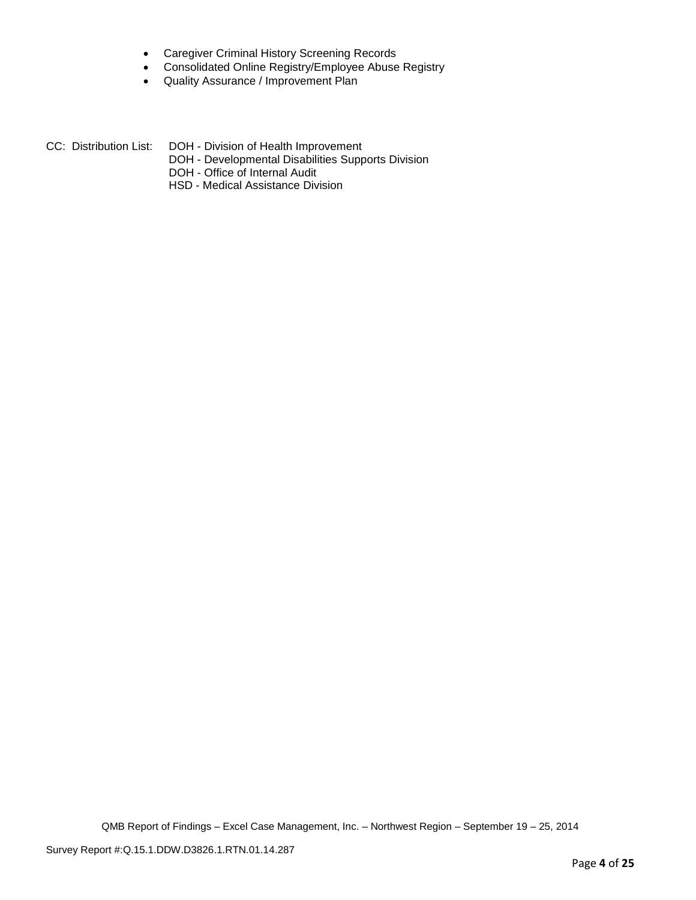- Caregiver Criminal History Screening Records
- Consolidated Online Registry/Employee Abuse Registry
- Quality Assurance / Improvement Plan
- CC: Distribution List: DOH Division of Health Improvement
	- DOH Developmental Disabilities Supports Division
	- DOH Office of Internal Audit
	- HSD Medical Assistance Division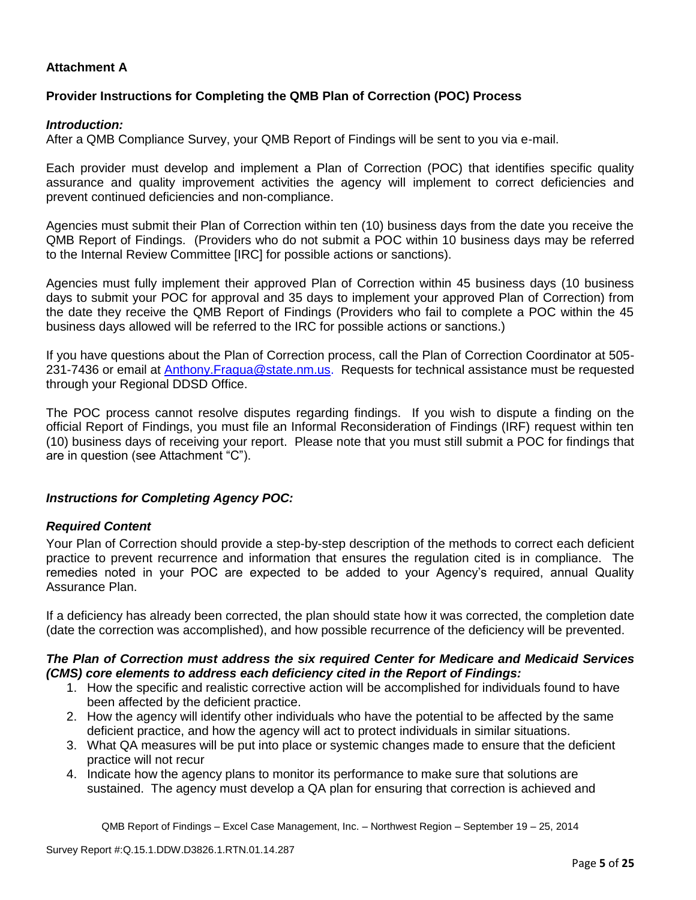## **Attachment A**

## **Provider Instructions for Completing the QMB Plan of Correction (POC) Process**

### *Introduction:*

After a QMB Compliance Survey, your QMB Report of Findings will be sent to you via e-mail.

Each provider must develop and implement a Plan of Correction (POC) that identifies specific quality assurance and quality improvement activities the agency will implement to correct deficiencies and prevent continued deficiencies and non-compliance.

Agencies must submit their Plan of Correction within ten (10) business days from the date you receive the QMB Report of Findings. (Providers who do not submit a POC within 10 business days may be referred to the Internal Review Committee [IRC] for possible actions or sanctions).

Agencies must fully implement their approved Plan of Correction within 45 business days (10 business days to submit your POC for approval and 35 days to implement your approved Plan of Correction) from the date they receive the QMB Report of Findings (Providers who fail to complete a POC within the 45 business days allowed will be referred to the IRC for possible actions or sanctions.)

If you have questions about the Plan of Correction process, call the Plan of Correction Coordinator at 505- 231-7436 or email at Anthony.Fragua@state.nm.us. Requests for technical assistance must be requested through your Regional DDSD Office.

The POC process cannot resolve disputes regarding findings. If you wish to dispute a finding on the official Report of Findings, you must file an Informal Reconsideration of Findings (IRF) request within ten (10) business days of receiving your report. Please note that you must still submit a POC for findings that are in question (see Attachment "C").

### *Instructions for Completing Agency POC:*

### *Required Content*

Your Plan of Correction should provide a step-by-step description of the methods to correct each deficient practice to prevent recurrence and information that ensures the regulation cited is in compliance. The remedies noted in your POC are expected to be added to your Agency's required, annual Quality Assurance Plan.

If a deficiency has already been corrected, the plan should state how it was corrected, the completion date (date the correction was accomplished), and how possible recurrence of the deficiency will be prevented.

### *The Plan of Correction must address the six required Center for Medicare and Medicaid Services (CMS) core elements to address each deficiency cited in the Report of Findings:*

- 1. How the specific and realistic corrective action will be accomplished for individuals found to have been affected by the deficient practice.
- 2. How the agency will identify other individuals who have the potential to be affected by the same deficient practice, and how the agency will act to protect individuals in similar situations.
- 3. What QA measures will be put into place or systemic changes made to ensure that the deficient practice will not recur
- 4. Indicate how the agency plans to monitor its performance to make sure that solutions are sustained. The agency must develop a QA plan for ensuring that correction is achieved and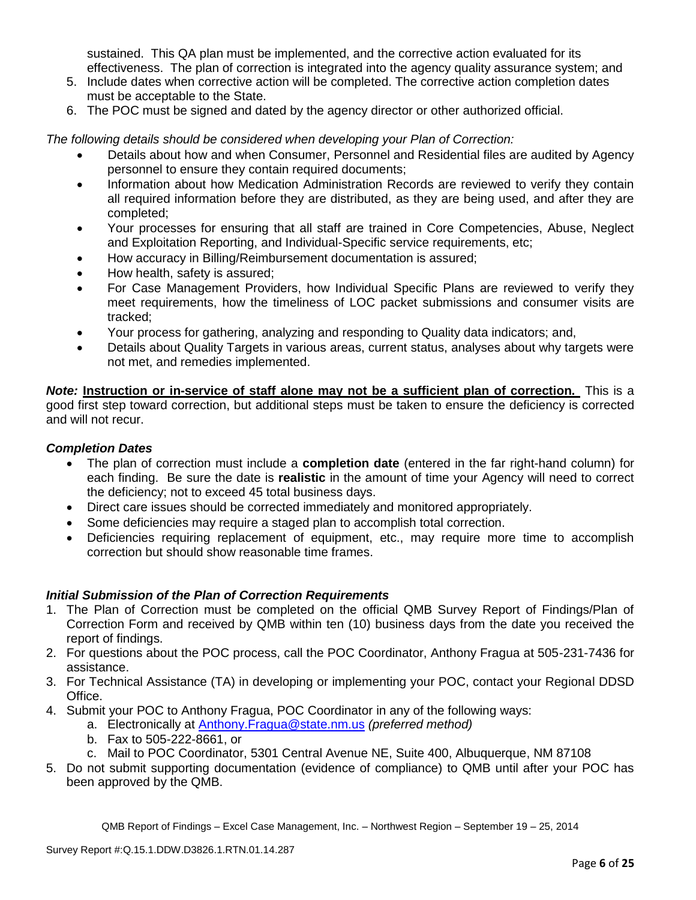sustained. This QA plan must be implemented, and the corrective action evaluated for its effectiveness. The plan of correction is integrated into the agency quality assurance system; and

- 5. Include dates when corrective action will be completed. The corrective action completion dates must be acceptable to the State.
- 6. The POC must be signed and dated by the agency director or other authorized official.

*The following details should be considered when developing your Plan of Correction:*

- Details about how and when Consumer, Personnel and Residential files are audited by Agency personnel to ensure they contain required documents;
- Information about how Medication Administration Records are reviewed to verify they contain all required information before they are distributed, as they are being used, and after they are completed;
- Your processes for ensuring that all staff are trained in Core Competencies, Abuse, Neglect and Exploitation Reporting, and Individual-Specific service requirements, etc;
- How accuracy in Billing/Reimbursement documentation is assured;
- How health, safety is assured;
- For Case Management Providers, how Individual Specific Plans are reviewed to verify they meet requirements, how the timeliness of LOC packet submissions and consumer visits are tracked;
- Your process for gathering, analyzing and responding to Quality data indicators; and,
- Details about Quality Targets in various areas, current status, analyses about why targets were not met, and remedies implemented.

*Note:* **Instruction or in-service of staff alone may not be a sufficient plan of correction.** This is a good first step toward correction, but additional steps must be taken to ensure the deficiency is corrected and will not recur.

# *Completion Dates*

- The plan of correction must include a **completion date** (entered in the far right-hand column) for each finding. Be sure the date is **realistic** in the amount of time your Agency will need to correct the deficiency; not to exceed 45 total business days.
- Direct care issues should be corrected immediately and monitored appropriately.
- Some deficiencies may require a staged plan to accomplish total correction.
- Deficiencies requiring replacement of equipment, etc., may require more time to accomplish correction but should show reasonable time frames.

# *Initial Submission of the Plan of Correction Requirements*

- 1. The Plan of Correction must be completed on the official QMB Survey Report of Findings/Plan of Correction Form and received by QMB within ten (10) business days from the date you received the report of findings.
- 2. For questions about the POC process, call the POC Coordinator, Anthony Fragua at 505-231-7436 for assistance.
- 3. For Technical Assistance (TA) in developing or implementing your POC, contact your Regional DDSD Office.
- 4. Submit your POC to Anthony Fragua, POC Coordinator in any of the following ways:
	- a. Electronically at Anthony.Fragua@state.nm.us *(preferred method)*
		- b. Fax to 505-222-8661, or
		- c. Mail to POC Coordinator, 5301 Central Avenue NE, Suite 400, Albuquerque, NM 87108
- 5. Do not submit supporting documentation (evidence of compliance) to QMB until after your POC has been approved by the QMB.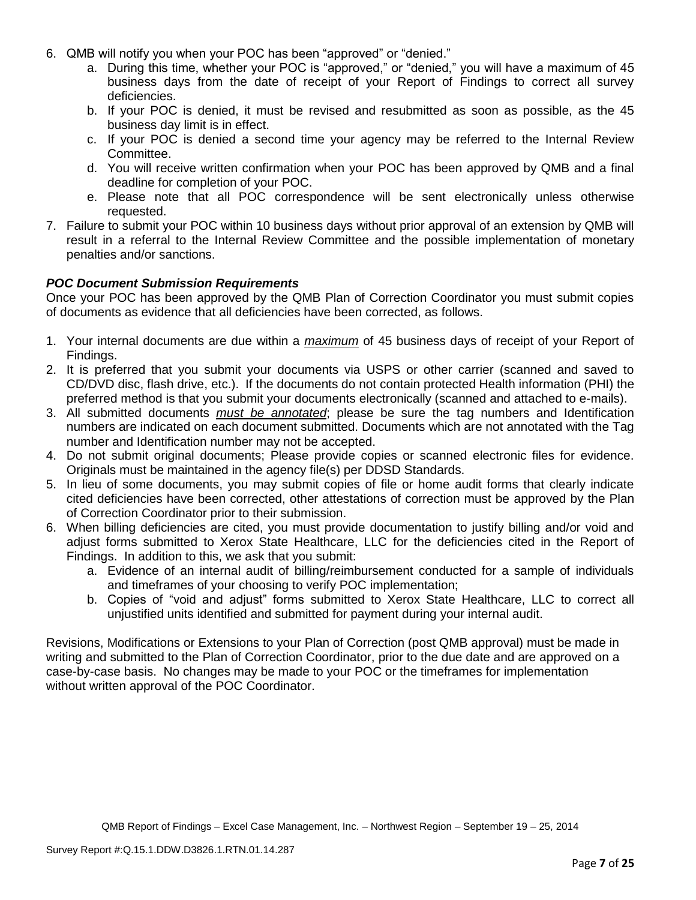- 6. QMB will notify you when your POC has been "approved" or "denied."
	- a. During this time, whether your POC is "approved," or "denied," you will have a maximum of 45 business days from the date of receipt of your Report of Findings to correct all survey deficiencies.
	- b. If your POC is denied, it must be revised and resubmitted as soon as possible, as the 45 business day limit is in effect.
	- c. If your POC is denied a second time your agency may be referred to the Internal Review Committee.
	- d. You will receive written confirmation when your POC has been approved by QMB and a final deadline for completion of your POC.
	- e. Please note that all POC correspondence will be sent electronically unless otherwise requested.
- 7. Failure to submit your POC within 10 business days without prior approval of an extension by QMB will result in a referral to the Internal Review Committee and the possible implementation of monetary penalties and/or sanctions.

### *POC Document Submission Requirements*

Once your POC has been approved by the QMB Plan of Correction Coordinator you must submit copies of documents as evidence that all deficiencies have been corrected, as follows.

- 1. Your internal documents are due within a *maximum* of 45 business days of receipt of your Report of Findings.
- 2. It is preferred that you submit your documents via USPS or other carrier (scanned and saved to CD/DVD disc, flash drive, etc.). If the documents do not contain protected Health information (PHI) the preferred method is that you submit your documents electronically (scanned and attached to e-mails).
- 3. All submitted documents *must be annotated*; please be sure the tag numbers and Identification numbers are indicated on each document submitted. Documents which are not annotated with the Tag number and Identification number may not be accepted.
- 4. Do not submit original documents; Please provide copies or scanned electronic files for evidence. Originals must be maintained in the agency file(s) per DDSD Standards.
- 5. In lieu of some documents, you may submit copies of file or home audit forms that clearly indicate cited deficiencies have been corrected, other attestations of correction must be approved by the Plan of Correction Coordinator prior to their submission.
- 6. When billing deficiencies are cited, you must provide documentation to justify billing and/or void and adjust forms submitted to Xerox State Healthcare, LLC for the deficiencies cited in the Report of Findings. In addition to this, we ask that you submit:
	- a. Evidence of an internal audit of billing/reimbursement conducted for a sample of individuals and timeframes of your choosing to verify POC implementation;
	- b. Copies of "void and adjust" forms submitted to Xerox State Healthcare, LLC to correct all unjustified units identified and submitted for payment during your internal audit.

Revisions, Modifications or Extensions to your Plan of Correction (post QMB approval) must be made in writing and submitted to the Plan of Correction Coordinator, prior to the due date and are approved on a case-by-case basis. No changes may be made to your POC or the timeframes for implementation without written approval of the POC Coordinator.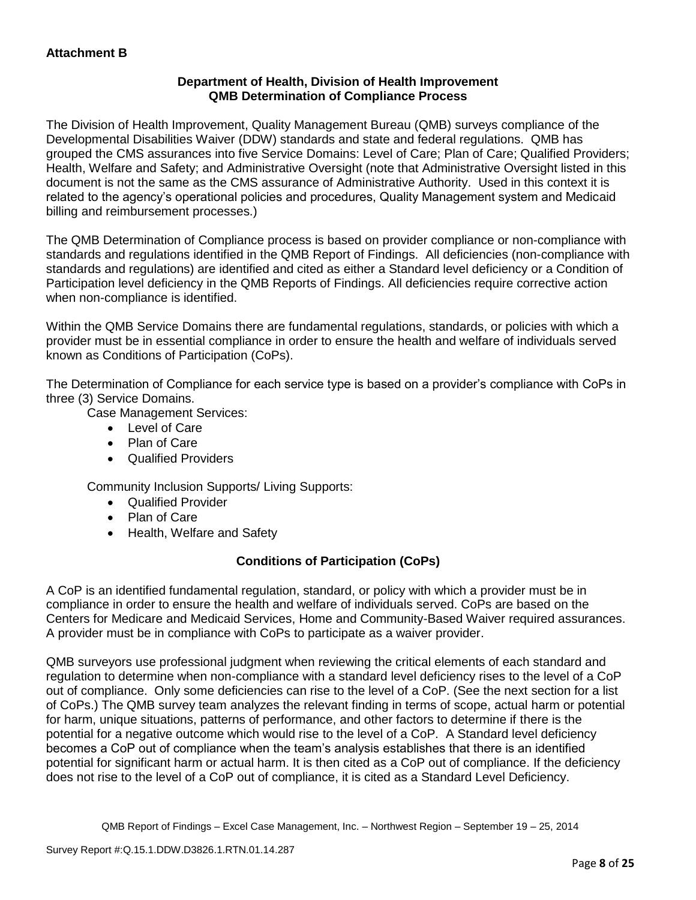## **Department of Health, Division of Health Improvement QMB Determination of Compliance Process**

The Division of Health Improvement, Quality Management Bureau (QMB) surveys compliance of the Developmental Disabilities Waiver (DDW) standards and state and federal regulations. QMB has grouped the CMS assurances into five Service Domains: Level of Care; Plan of Care; Qualified Providers; Health, Welfare and Safety; and Administrative Oversight (note that Administrative Oversight listed in this document is not the same as the CMS assurance of Administrative Authority. Used in this context it is related to the agency's operational policies and procedures, Quality Management system and Medicaid billing and reimbursement processes.)

The QMB Determination of Compliance process is based on provider compliance or non-compliance with standards and regulations identified in the QMB Report of Findings. All deficiencies (non-compliance with standards and regulations) are identified and cited as either a Standard level deficiency or a Condition of Participation level deficiency in the QMB Reports of Findings. All deficiencies require corrective action when non-compliance is identified.

Within the QMB Service Domains there are fundamental regulations, standards, or policies with which a provider must be in essential compliance in order to ensure the health and welfare of individuals served known as Conditions of Participation (CoPs).

The Determination of Compliance for each service type is based on a provider's compliance with CoPs in three (3) Service Domains.

Case Management Services:

- Level of Care
- Plan of Care
- Qualified Providers

Community Inclusion Supports/ Living Supports:

- Qualified Provider
- Plan of Care
- Health, Welfare and Safety

# **Conditions of Participation (CoPs)**

A CoP is an identified fundamental regulation, standard, or policy with which a provider must be in compliance in order to ensure the health and welfare of individuals served. CoPs are based on the Centers for Medicare and Medicaid Services, Home and Community-Based Waiver required assurances. A provider must be in compliance with CoPs to participate as a waiver provider.

QMB surveyors use professional judgment when reviewing the critical elements of each standard and regulation to determine when non-compliance with a standard level deficiency rises to the level of a CoP out of compliance. Only some deficiencies can rise to the level of a CoP. (See the next section for a list of CoPs.) The QMB survey team analyzes the relevant finding in terms of scope, actual harm or potential for harm, unique situations, patterns of performance, and other factors to determine if there is the potential for a negative outcome which would rise to the level of a CoP. A Standard level deficiency becomes a CoP out of compliance when the team's analysis establishes that there is an identified potential for significant harm or actual harm. It is then cited as a CoP out of compliance. If the deficiency does not rise to the level of a CoP out of compliance, it is cited as a Standard Level Deficiency.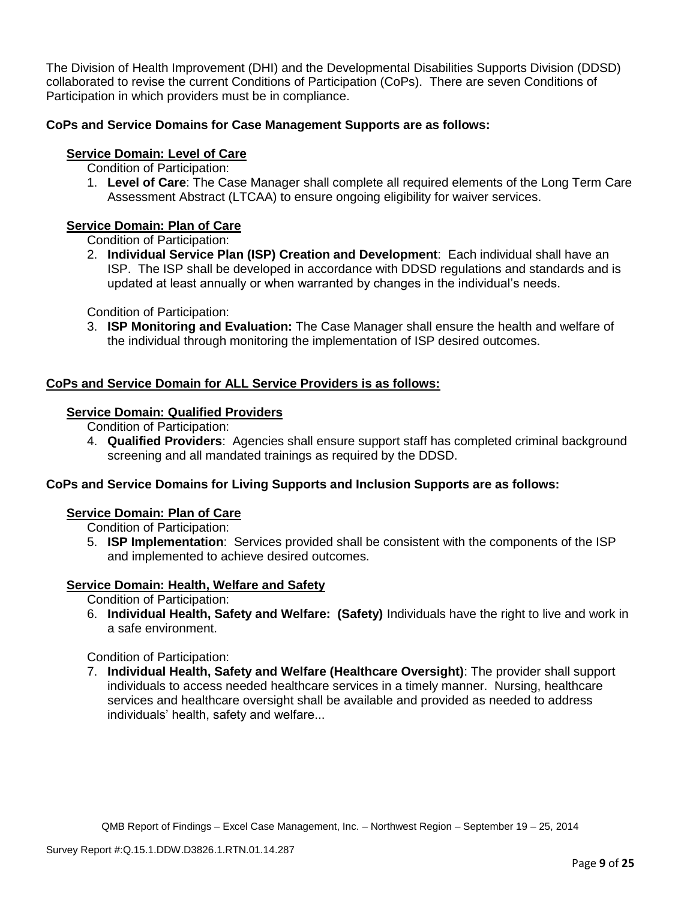The Division of Health Improvement (DHI) and the Developmental Disabilities Supports Division (DDSD) collaborated to revise the current Conditions of Participation (CoPs). There are seven Conditions of Participation in which providers must be in compliance.

# **CoPs and Service Domains for Case Management Supports are as follows:**

# **Service Domain: Level of Care**

- Condition of Participation:
- 1. **Level of Care**: The Case Manager shall complete all required elements of the Long Term Care Assessment Abstract (LTCAA) to ensure ongoing eligibility for waiver services.

# **Service Domain: Plan of Care**

Condition of Participation:

2. **Individual Service Plan (ISP) Creation and Development**: Each individual shall have an ISP. The ISP shall be developed in accordance with DDSD regulations and standards and is updated at least annually or when warranted by changes in the individual's needs.

Condition of Participation:

3. **ISP Monitoring and Evaluation:** The Case Manager shall ensure the health and welfare of the individual through monitoring the implementation of ISP desired outcomes.

# **CoPs and Service Domain for ALL Service Providers is as follows:**

# **Service Domain: Qualified Providers**

- Condition of Participation:
- 4. **Qualified Providers**: Agencies shall ensure support staff has completed criminal background screening and all mandated trainings as required by the DDSD.

# **CoPs and Service Domains for Living Supports and Inclusion Supports are as follows:**

### **Service Domain: Plan of Care**

Condition of Participation:

5. **ISP Implementation**: Services provided shall be consistent with the components of the ISP and implemented to achieve desired outcomes.

# **Service Domain: Health, Welfare and Safety**

Condition of Participation:

6. **Individual Health, Safety and Welfare: (Safety)** Individuals have the right to live and work in a safe environment.

Condition of Participation:

7. **Individual Health, Safety and Welfare (Healthcare Oversight)**: The provider shall support individuals to access needed healthcare services in a timely manner. Nursing, healthcare services and healthcare oversight shall be available and provided as needed to address individuals' health, safety and welfare...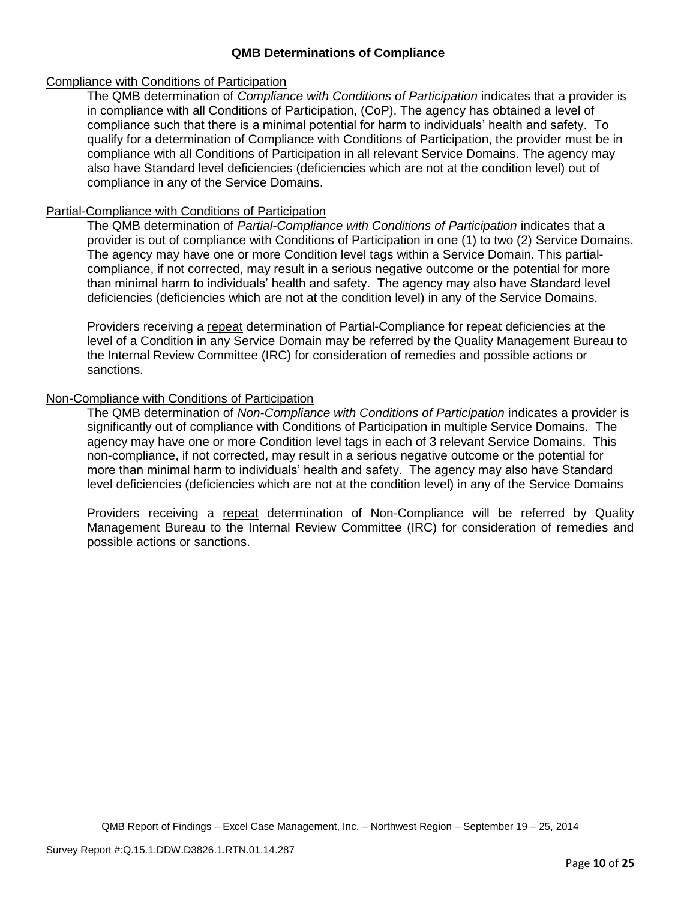### **QMB Determinations of Compliance**

### Compliance with Conditions of Participation

The QMB determination of *Compliance with Conditions of Participation* indicates that a provider is in compliance with all Conditions of Participation, (CoP). The agency has obtained a level of compliance such that there is a minimal potential for harm to individuals' health and safety. To qualify for a determination of Compliance with Conditions of Participation, the provider must be in compliance with all Conditions of Participation in all relevant Service Domains. The agency may also have Standard level deficiencies (deficiencies which are not at the condition level) out of compliance in any of the Service Domains.

### Partial-Compliance with Conditions of Participation

The QMB determination of *Partial-Compliance with Conditions of Participation* indicates that a provider is out of compliance with Conditions of Participation in one (1) to two (2) Service Domains. The agency may have one or more Condition level tags within a Service Domain. This partialcompliance, if not corrected, may result in a serious negative outcome or the potential for more than minimal harm to individuals' health and safety. The agency may also have Standard level deficiencies (deficiencies which are not at the condition level) in any of the Service Domains.

Providers receiving a repeat determination of Partial-Compliance for repeat deficiencies at the level of a Condition in any Service Domain may be referred by the Quality Management Bureau to the Internal Review Committee (IRC) for consideration of remedies and possible actions or sanctions.

### Non-Compliance with Conditions of Participation

The QMB determination of *Non-Compliance with Conditions of Participation* indicates a provider is significantly out of compliance with Conditions of Participation in multiple Service Domains. The agency may have one or more Condition level tags in each of 3 relevant Service Domains. This non-compliance, if not corrected, may result in a serious negative outcome or the potential for more than minimal harm to individuals' health and safety. The agency may also have Standard level deficiencies (deficiencies which are not at the condition level) in any of the Service Domains

Providers receiving a repeat determination of Non-Compliance will be referred by Quality Management Bureau to the Internal Review Committee (IRC) for consideration of remedies and possible actions or sanctions.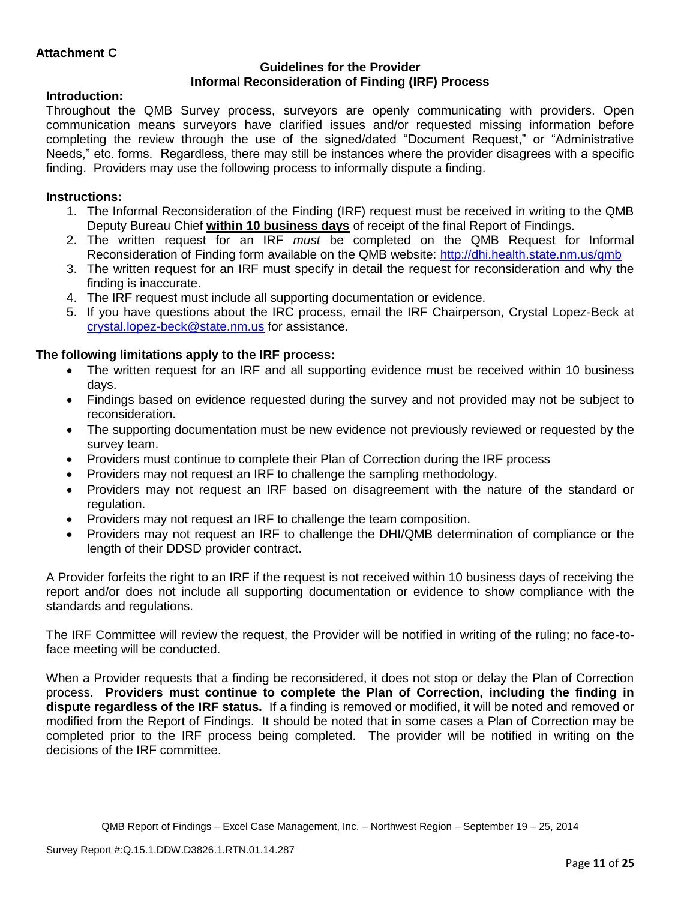### **Guidelines for the Provider Informal Reconsideration of Finding (IRF) Process**

# **Introduction:**

Throughout the QMB Survey process, surveyors are openly communicating with providers. Open communication means surveyors have clarified issues and/or requested missing information before completing the review through the use of the signed/dated "Document Request," or "Administrative Needs," etc. forms. Regardless, there may still be instances where the provider disagrees with a specific finding. Providers may use the following process to informally dispute a finding.

# **Instructions:**

- 1. The Informal Reconsideration of the Finding (IRF) request must be received in writing to the QMB Deputy Bureau Chief **within 10 business days** of receipt of the final Report of Findings.
- 2. The written request for an IRF *must* be completed on the QMB Request for Informal Reconsideration of Finding form available on the QMB website:<http://dhi.health.state.nm.us/qmb>
- 3. The written request for an IRF must specify in detail the request for reconsideration and why the finding is inaccurate.
- 4. The IRF request must include all supporting documentation or evidence.
- 5. If you have questions about the IRC process, email the IRF Chairperson, Crystal Lopez-Beck at [crystal.lopez-beck@state.nm.us](mailto:crystal.lopez-beck@state.nm.us) for assistance.

# **The following limitations apply to the IRF process:**

- The written request for an IRF and all supporting evidence must be received within 10 business days.
- Findings based on evidence requested during the survey and not provided may not be subject to reconsideration.
- The supporting documentation must be new evidence not previously reviewed or requested by the survey team.
- Providers must continue to complete their Plan of Correction during the IRF process
- Providers may not request an IRF to challenge the sampling methodology.
- Providers may not request an IRF based on disagreement with the nature of the standard or regulation.
- Providers may not request an IRF to challenge the team composition.
- Providers may not request an IRF to challenge the DHI/QMB determination of compliance or the length of their DDSD provider contract.

A Provider forfeits the right to an IRF if the request is not received within 10 business days of receiving the report and/or does not include all supporting documentation or evidence to show compliance with the standards and regulations.

The IRF Committee will review the request, the Provider will be notified in writing of the ruling; no face-toface meeting will be conducted.

When a Provider requests that a finding be reconsidered, it does not stop or delay the Plan of Correction process. **Providers must continue to complete the Plan of Correction, including the finding in dispute regardless of the IRF status.** If a finding is removed or modified, it will be noted and removed or modified from the Report of Findings. It should be noted that in some cases a Plan of Correction may be completed prior to the IRF process being completed. The provider will be notified in writing on the decisions of the IRF committee.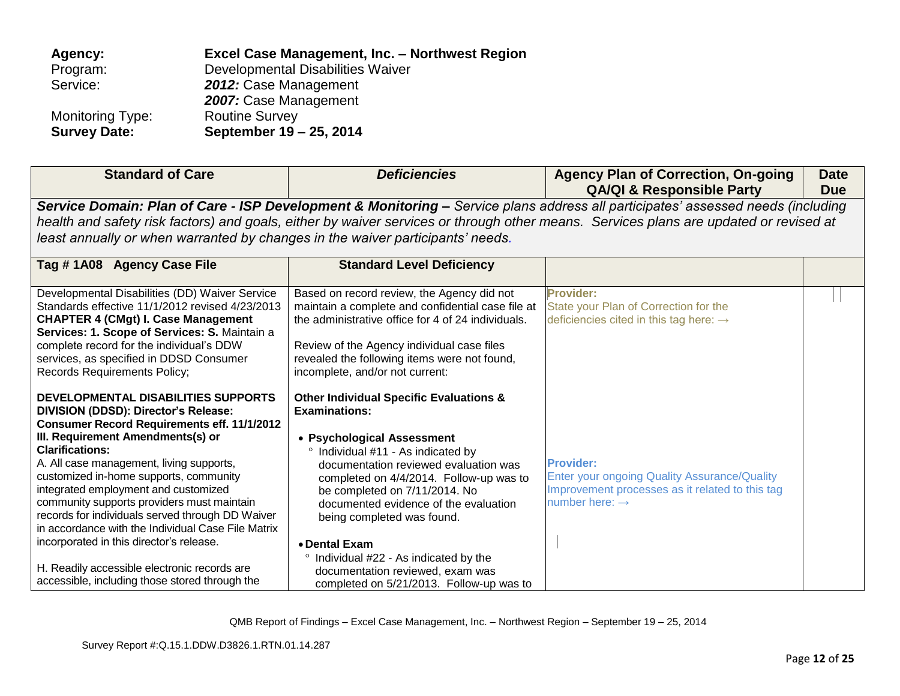| Agency:                 | Excel Case Management, Inc. - Northwest Region |
|-------------------------|------------------------------------------------|
| Program:                | Developmental Disabilities Waiver              |
| Service:                | 2012: Case Management                          |
|                         | 2007: Case Management                          |
| <b>Monitoring Type:</b> | <b>Routine Survey</b>                          |
| <b>Survey Date:</b>     | September 19 - 25, 2014                        |

| <b>Standard of Care</b>                                                                                                                                                                                                                                                                                                                                                                                                                                                                                                                                                                                                              | <b>Deficiencies</b>                                                                                                                                                                                                                                                                                                                                                                                                                                                                            | <b>Agency Plan of Correction, On-going</b><br><b>QA/QI &amp; Responsible Party</b>                                                                                                                                                                                       | <b>Date</b><br><b>Due</b> |
|--------------------------------------------------------------------------------------------------------------------------------------------------------------------------------------------------------------------------------------------------------------------------------------------------------------------------------------------------------------------------------------------------------------------------------------------------------------------------------------------------------------------------------------------------------------------------------------------------------------------------------------|------------------------------------------------------------------------------------------------------------------------------------------------------------------------------------------------------------------------------------------------------------------------------------------------------------------------------------------------------------------------------------------------------------------------------------------------------------------------------------------------|--------------------------------------------------------------------------------------------------------------------------------------------------------------------------------------------------------------------------------------------------------------------------|---------------------------|
| least annually or when warranted by changes in the waiver participants' needs.                                                                                                                                                                                                                                                                                                                                                                                                                                                                                                                                                       |                                                                                                                                                                                                                                                                                                                                                                                                                                                                                                | Service Domain: Plan of Care - ISP Development & Monitoring – Service plans address all participates' assessed needs (including<br>health and safety risk factors) and goals, either by waiver services or through other means. Services plans are updated or revised at |                           |
| Tag #1A08 Agency Case File                                                                                                                                                                                                                                                                                                                                                                                                                                                                                                                                                                                                           | <b>Standard Level Deficiency</b>                                                                                                                                                                                                                                                                                                                                                                                                                                                               |                                                                                                                                                                                                                                                                          |                           |
| Developmental Disabilities (DD) Waiver Service<br>Standards effective 11/1/2012 revised 4/23/2013<br><b>CHAPTER 4 (CMgt) I. Case Management</b><br>Services: 1. Scope of Services: S. Maintain a<br>complete record for the individual's DDW<br>services, as specified in DDSD Consumer<br><b>Records Requirements Policy;</b>                                                                                                                                                                                                                                                                                                       | Based on record review, the Agency did not<br>maintain a complete and confidential case file at<br>the administrative office for 4 of 24 individuals.<br>Review of the Agency individual case files<br>revealed the following items were not found,<br>incomplete, and/or not current:                                                                                                                                                                                                         | <b>Provider:</b><br>State your Plan of Correction for the<br>deficiencies cited in this tag here: $\rightarrow$                                                                                                                                                          |                           |
| DEVELOPMENTAL DISABILITIES SUPPORTS<br>DIVISION (DDSD): Director's Release:<br><b>Consumer Record Requirements eff. 11/1/2012</b><br>III. Requirement Amendments(s) or<br><b>Clarifications:</b><br>A. All case management, living supports,<br>customized in-home supports, community<br>integrated employment and customized<br>community supports providers must maintain<br>records for individuals served through DD Waiver<br>in accordance with the Individual Case File Matrix<br>incorporated in this director's release.<br>H. Readily accessible electronic records are<br>accessible, including those stored through the | <b>Other Individual Specific Evaluations &amp;</b><br><b>Examinations:</b><br>• Psychological Assessment<br>° Individual #11 - As indicated by<br>documentation reviewed evaluation was<br>completed on 4/4/2014. Follow-up was to<br>be completed on 7/11/2014. No<br>documented evidence of the evaluation<br>being completed was found.<br>• Dental Exam<br>Individual #22 - As indicated by the<br>$\circ$<br>documentation reviewed, exam was<br>completed on 5/21/2013. Follow-up was to | <b>Provider:</b><br><b>Enter your ongoing Quality Assurance/Quality</b><br>Improvement processes as it related to this tag<br>number here: $\rightarrow$                                                                                                                 |                           |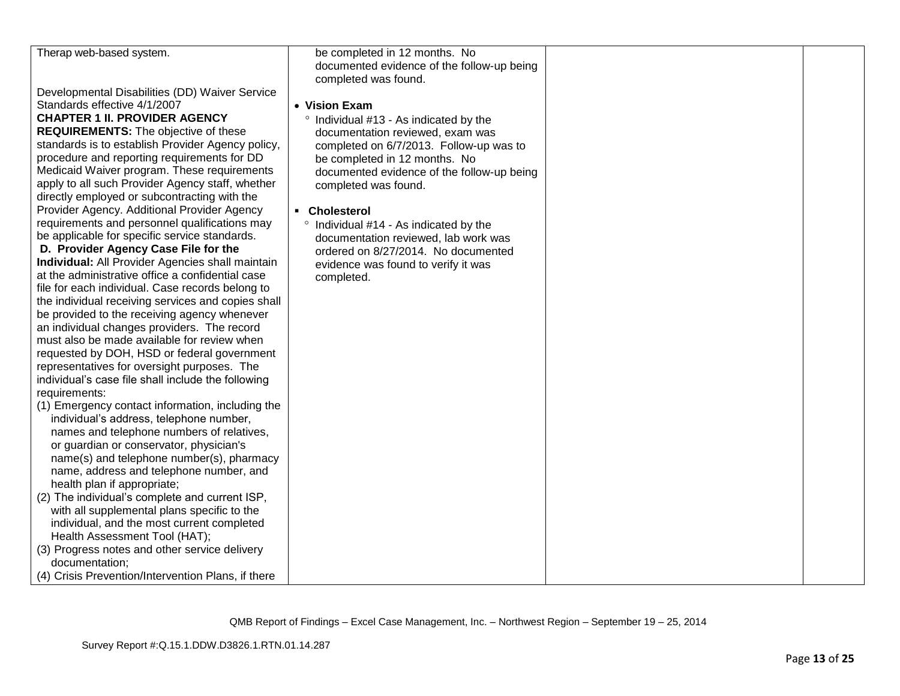| Therap web-based system.                                                                        | be completed in 12 months. No                                      |  |
|-------------------------------------------------------------------------------------------------|--------------------------------------------------------------------|--|
|                                                                                                 | documented evidence of the follow-up being<br>completed was found. |  |
| Developmental Disabilities (DD) Waiver Service                                                  |                                                                    |  |
| Standards effective 4/1/2007                                                                    | • Vision Exam                                                      |  |
| <b>CHAPTER 1 II. PROVIDER AGENCY</b>                                                            | ° Individual #13 - As indicated by the                             |  |
| <b>REQUIREMENTS:</b> The objective of these                                                     | documentation reviewed, exam was                                   |  |
| standards is to establish Provider Agency policy,                                               | completed on 6/7/2013. Follow-up was to                            |  |
| procedure and reporting requirements for DD                                                     | be completed in 12 months. No                                      |  |
| Medicaid Waiver program. These requirements<br>apply to all such Provider Agency staff, whether | documented evidence of the follow-up being                         |  |
| directly employed or subcontracting with the                                                    | completed was found.                                               |  |
| Provider Agency. Additional Provider Agency                                                     | • Cholesterol                                                      |  |
| requirements and personnel qualifications may                                                   | ° Individual #14 - As indicated by the                             |  |
| be applicable for specific service standards.                                                   | documentation reviewed, lab work was                               |  |
| D. Provider Agency Case File for the                                                            | ordered on 8/27/2014. No documented                                |  |
| <b>Individual:</b> All Provider Agencies shall maintain                                         | evidence was found to verify it was                                |  |
| at the administrative office a confidential case                                                | completed.                                                         |  |
| file for each individual. Case records belong to                                                |                                                                    |  |
| the individual receiving services and copies shall                                              |                                                                    |  |
| be provided to the receiving agency whenever                                                    |                                                                    |  |
| an individual changes providers. The record<br>must also be made available for review when      |                                                                    |  |
| requested by DOH, HSD or federal government                                                     |                                                                    |  |
| representatives for oversight purposes. The                                                     |                                                                    |  |
| individual's case file shall include the following                                              |                                                                    |  |
| requirements:                                                                                   |                                                                    |  |
| (1) Emergency contact information, including the                                                |                                                                    |  |
| individual's address, telephone number,                                                         |                                                                    |  |
| names and telephone numbers of relatives,                                                       |                                                                    |  |
| or guardian or conservator, physician's                                                         |                                                                    |  |
| name(s) and telephone number(s), pharmacy                                                       |                                                                    |  |
| name, address and telephone number, and                                                         |                                                                    |  |
| health plan if appropriate;                                                                     |                                                                    |  |
| (2) The individual's complete and current ISP,                                                  |                                                                    |  |
| with all supplemental plans specific to the                                                     |                                                                    |  |
| individual, and the most current completed                                                      |                                                                    |  |
| Health Assessment Tool (HAT);                                                                   |                                                                    |  |
| (3) Progress notes and other service delivery                                                   |                                                                    |  |
| documentation;<br>(4) Crisis Prevention/Intervention Plans, if there                            |                                                                    |  |
|                                                                                                 |                                                                    |  |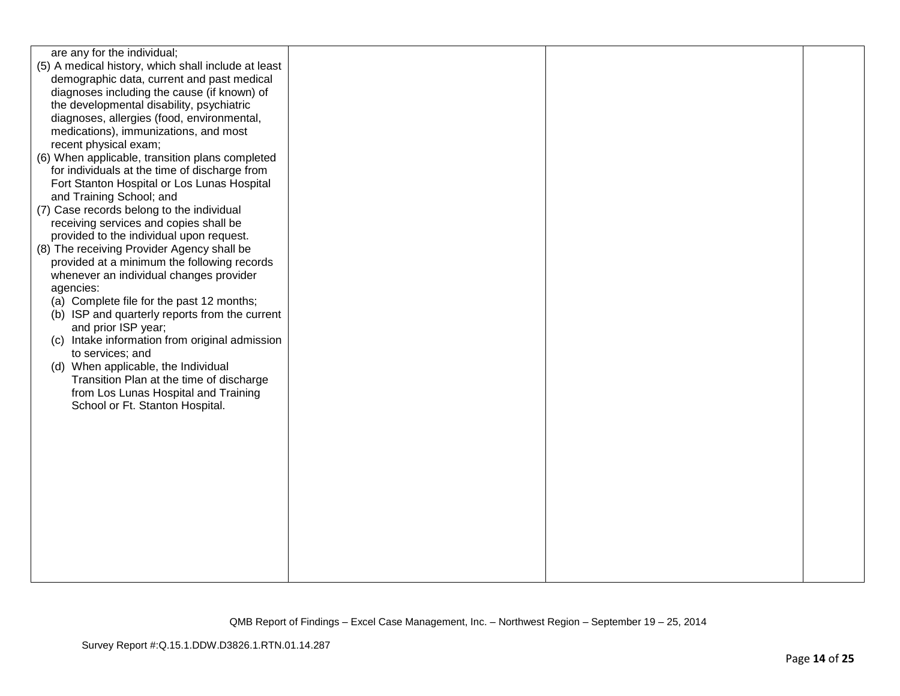| are any for the individual;                         |  |  |
|-----------------------------------------------------|--|--|
| (5) A medical history, which shall include at least |  |  |
| demographic data, current and past medical          |  |  |
| diagnoses including the cause (if known) of         |  |  |
| the developmental disability, psychiatric           |  |  |
| diagnoses, allergies (food, environmental,          |  |  |
| medications), immunizations, and most               |  |  |
| recent physical exam;                               |  |  |
| (6) When applicable, transition plans completed     |  |  |
| for individuals at the time of discharge from       |  |  |
| Fort Stanton Hospital or Los Lunas Hospital         |  |  |
| and Training School; and                            |  |  |
| (7) Case records belong to the individual           |  |  |
| receiving services and copies shall be              |  |  |
| provided to the individual upon request.            |  |  |
| (8) The receiving Provider Agency shall be          |  |  |
| provided at a minimum the following records         |  |  |
| whenever an individual changes provider             |  |  |
| agencies:                                           |  |  |
| (a) Complete file for the past 12 months;           |  |  |
| (b) ISP and quarterly reports from the current      |  |  |
| and prior ISP year;                                 |  |  |
| Intake information from original admission<br>(C)   |  |  |
| to services; and                                    |  |  |
| (d) When applicable, the Individual                 |  |  |
| Transition Plan at the time of discharge            |  |  |
| from Los Lunas Hospital and Training                |  |  |
| School or Ft. Stanton Hospital.                     |  |  |
|                                                     |  |  |
|                                                     |  |  |
|                                                     |  |  |
|                                                     |  |  |
|                                                     |  |  |
|                                                     |  |  |
|                                                     |  |  |
|                                                     |  |  |
|                                                     |  |  |
|                                                     |  |  |
|                                                     |  |  |
|                                                     |  |  |
|                                                     |  |  |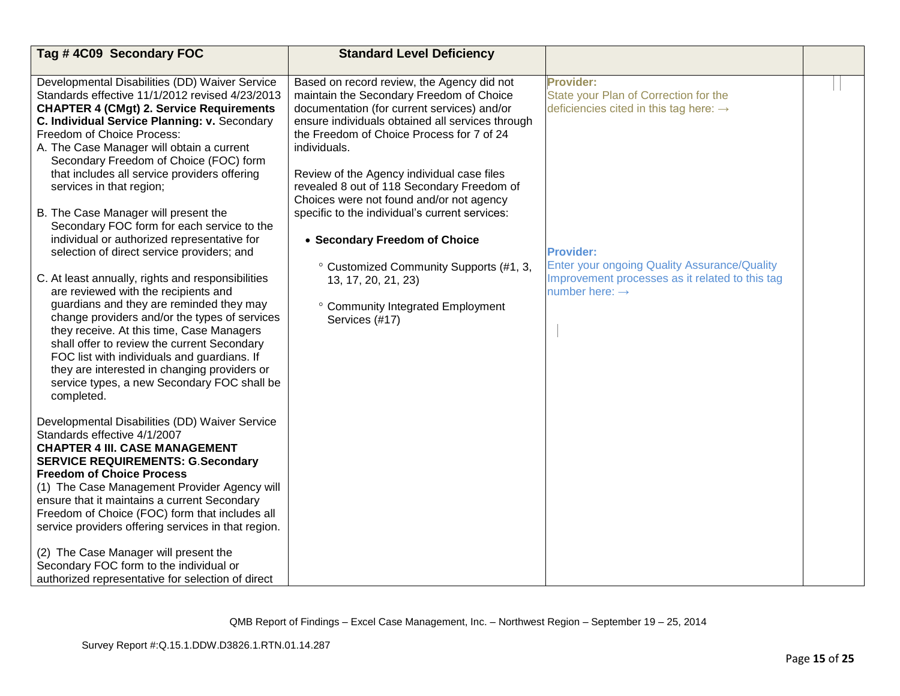| Tag #4C09 Secondary FOC                                                                                                                                                                                                                                                                                                                                                                                                                        | <b>Standard Level Deficiency</b>                                                                                                                                                                                                                                                                                                                   |                                                                                                          |  |
|------------------------------------------------------------------------------------------------------------------------------------------------------------------------------------------------------------------------------------------------------------------------------------------------------------------------------------------------------------------------------------------------------------------------------------------------|----------------------------------------------------------------------------------------------------------------------------------------------------------------------------------------------------------------------------------------------------------------------------------------------------------------------------------------------------|----------------------------------------------------------------------------------------------------------|--|
|                                                                                                                                                                                                                                                                                                                                                                                                                                                |                                                                                                                                                                                                                                                                                                                                                    |                                                                                                          |  |
| Developmental Disabilities (DD) Waiver Service<br>Standards effective 11/1/2012 revised 4/23/2013<br><b>CHAPTER 4 (CMgt) 2. Service Requirements</b><br>C. Individual Service Planning: v. Secondary<br>Freedom of Choice Process:<br>A. The Case Manager will obtain a current<br>Secondary Freedom of Choice (FOC) form<br>that includes all service providers offering<br>services in that region;                                          | Based on record review, the Agency did not<br>maintain the Secondary Freedom of Choice<br>documentation (for current services) and/or<br>ensure individuals obtained all services through<br>the Freedom of Choice Process for 7 of 24<br>individuals.<br>Review of the Agency individual case files<br>revealed 8 out of 118 Secondary Freedom of | Provider:<br>State your Plan of Correction for the<br>deficiencies cited in this tag here: $\rightarrow$ |  |
| B. The Case Manager will present the<br>Secondary FOC form for each service to the<br>individual or authorized representative for<br>selection of direct service providers; and                                                                                                                                                                                                                                                                | Choices were not found and/or not agency<br>specific to the individual's current services:<br>• Secondary Freedom of Choice<br>° Customized Community Supports (#1, 3,                                                                                                                                                                             | <b>Provider:</b><br><b>Enter your ongoing Quality Assurance/Quality</b>                                  |  |
| C. At least annually, rights and responsibilities<br>are reviewed with the recipients and<br>guardians and they are reminded they may<br>change providers and/or the types of services<br>they receive. At this time, Case Managers<br>shall offer to review the current Secondary<br>FOC list with individuals and guardians. If<br>they are interested in changing providers or<br>service types, a new Secondary FOC shall be<br>completed. | 13, 17, 20, 21, 23)<br>° Community Integrated Employment<br>Services (#17)                                                                                                                                                                                                                                                                         | Improvement processes as it related to this tag<br>number here: $\rightarrow$                            |  |
| Developmental Disabilities (DD) Waiver Service<br>Standards effective 4/1/2007<br><b>CHAPTER 4 III. CASE MANAGEMENT</b><br><b>SERVICE REQUIREMENTS: G. Secondary</b><br><b>Freedom of Choice Process</b><br>(1) The Case Management Provider Agency will<br>ensure that it maintains a current Secondary<br>Freedom of Choice (FOC) form that includes all<br>service providers offering services in that region.                              |                                                                                                                                                                                                                                                                                                                                                    |                                                                                                          |  |
| (2) The Case Manager will present the<br>Secondary FOC form to the individual or<br>authorized representative for selection of direct                                                                                                                                                                                                                                                                                                          |                                                                                                                                                                                                                                                                                                                                                    |                                                                                                          |  |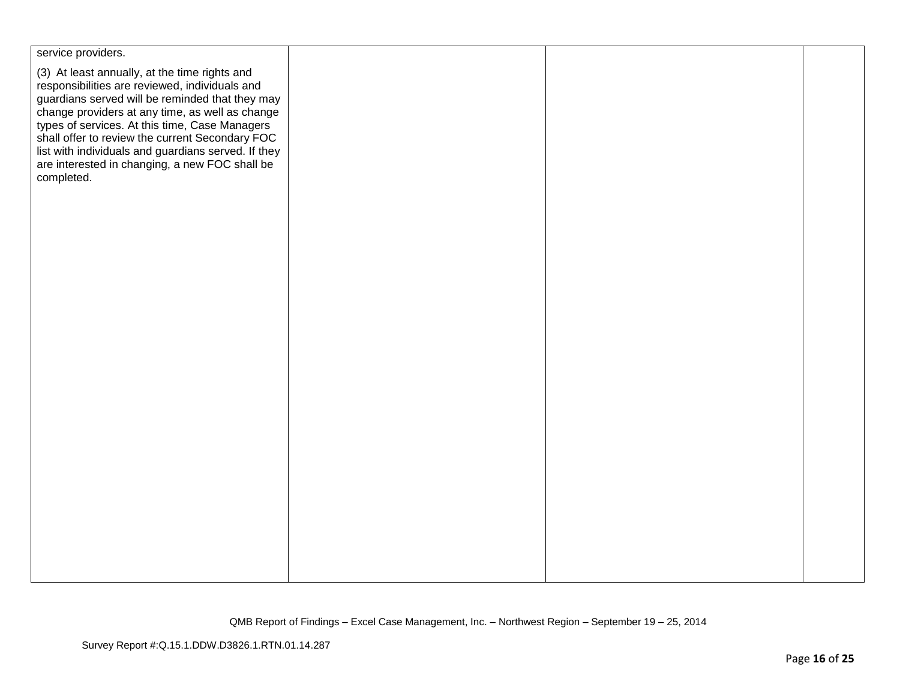| service providers.                                                                                                                                                                                                                                      |  |  |
|---------------------------------------------------------------------------------------------------------------------------------------------------------------------------------------------------------------------------------------------------------|--|--|
| (3) At least annually, at the time rights and<br>responsibilities are reviewed, individuals and<br>guardians served will be reminded that they may<br>change providers at any time, as well as change<br>types of services. At this time, Case Managers |  |  |
| shall offer to review the current Secondary FOC<br>list with individuals and guardians served. If they<br>are interested in changing, a new FOC shall be<br>completed.                                                                                  |  |  |
|                                                                                                                                                                                                                                                         |  |  |
|                                                                                                                                                                                                                                                         |  |  |
|                                                                                                                                                                                                                                                         |  |  |
|                                                                                                                                                                                                                                                         |  |  |
|                                                                                                                                                                                                                                                         |  |  |
|                                                                                                                                                                                                                                                         |  |  |
|                                                                                                                                                                                                                                                         |  |  |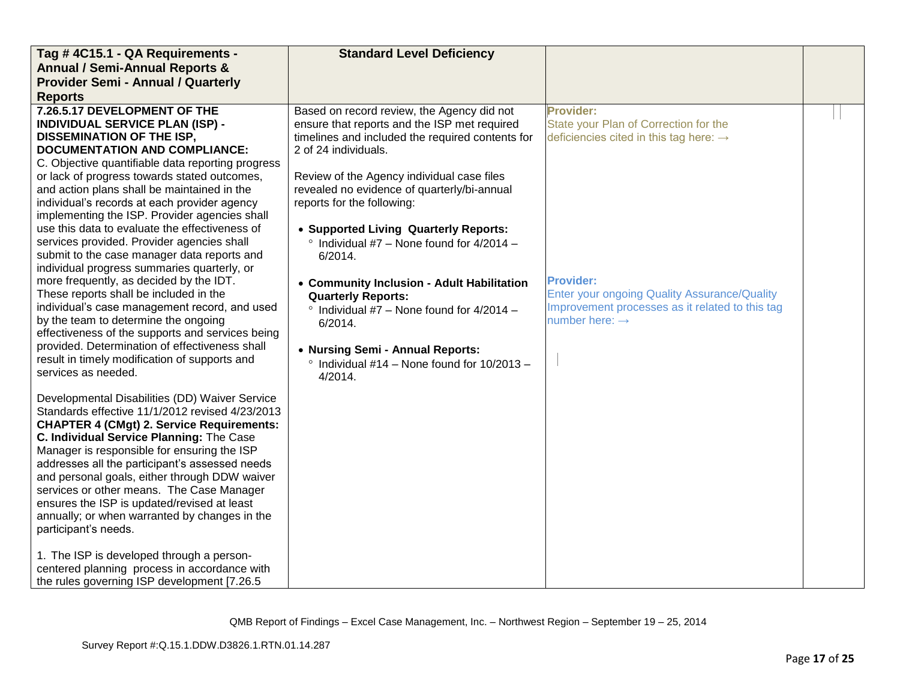| Tag #4C15.1 - QA Requirements -                                       | <b>Standard Level Deficiency</b>                  |                                                     |  |
|-----------------------------------------------------------------------|---------------------------------------------------|-----------------------------------------------------|--|
| <b>Annual / Semi-Annual Reports &amp;</b>                             |                                                   |                                                     |  |
| <b>Provider Semi - Annual / Quarterly</b>                             |                                                   |                                                     |  |
| <b>Reports</b>                                                        |                                                   |                                                     |  |
| 7.26.5.17 DEVELOPMENT OF THE                                          | Based on record review, the Agency did not        | <b>Provider:</b>                                    |  |
| <b>INDIVIDUAL SERVICE PLAN (ISP) -</b>                                | ensure that reports and the ISP met required      | State your Plan of Correction for the               |  |
| <b>DISSEMINATION OF THE ISP,</b>                                      | timelines and included the required contents for  | deficiencies cited in this tag here: $\rightarrow$  |  |
| <b>DOCUMENTATION AND COMPLIANCE:</b>                                  | 2 of 24 individuals.                              |                                                     |  |
| C. Objective quantifiable data reporting progress                     |                                                   |                                                     |  |
| or lack of progress towards stated outcomes,                          | Review of the Agency individual case files        |                                                     |  |
| and action plans shall be maintained in the                           | revealed no evidence of quarterly/bi-annual       |                                                     |  |
| individual's records at each provider agency                          | reports for the following:                        |                                                     |  |
| implementing the ISP. Provider agencies shall                         |                                                   |                                                     |  |
| use this data to evaluate the effectiveness of                        | • Supported Living Quarterly Reports:             |                                                     |  |
| services provided. Provider agencies shall                            | $\degree$ Individual #7 - None found for 4/2014 - |                                                     |  |
| submit to the case manager data reports and                           | 6/2014.                                           |                                                     |  |
| individual progress summaries quarterly, or                           |                                                   |                                                     |  |
| more frequently, as decided by the IDT.                               | • Community Inclusion - Adult Habilitation        | <b>Provider:</b>                                    |  |
| These reports shall be included in the                                | <b>Quarterly Reports:</b>                         | <b>Enter your ongoing Quality Assurance/Quality</b> |  |
| individual's case management record, and used                         | $\degree$ Individual #7 - None found for 4/2014 - | Improvement processes as it related to this tag     |  |
| by the team to determine the ongoing                                  | 6/2014.                                           | number here: $\rightarrow$                          |  |
| effectiveness of the supports and services being                      |                                                   |                                                     |  |
| provided. Determination of effectiveness shall                        | • Nursing Semi - Annual Reports:                  |                                                     |  |
| result in timely modification of supports and                         | Individual $#14$ – None found for $10/2013$ –     |                                                     |  |
| services as needed.                                                   | 4/2014.                                           |                                                     |  |
|                                                                       |                                                   |                                                     |  |
| Developmental Disabilities (DD) Waiver Service                        |                                                   |                                                     |  |
| Standards effective 11/1/2012 revised 4/23/2013                       |                                                   |                                                     |  |
| <b>CHAPTER 4 (CMgt) 2. Service Requirements:</b>                      |                                                   |                                                     |  |
| C. Individual Service Planning: The Case                              |                                                   |                                                     |  |
| Manager is responsible for ensuring the ISP                           |                                                   |                                                     |  |
| addresses all the participant's assessed needs                        |                                                   |                                                     |  |
| and personal goals, either through DDW waiver                         |                                                   |                                                     |  |
| services or other means. The Case Manager                             |                                                   |                                                     |  |
| ensures the ISP is updated/revised at least                           |                                                   |                                                     |  |
| annually; or when warranted by changes in the<br>participant's needs. |                                                   |                                                     |  |
|                                                                       |                                                   |                                                     |  |
| 1. The ISP is developed through a person-                             |                                                   |                                                     |  |
| centered planning process in accordance with                          |                                                   |                                                     |  |
| the rules governing ISP development [7.26.5                           |                                                   |                                                     |  |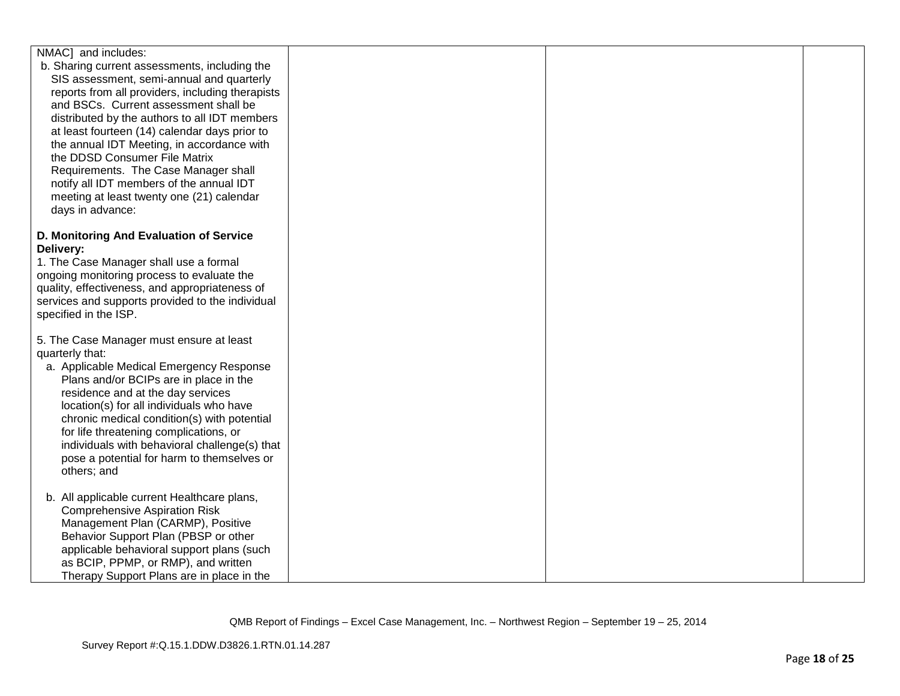| NMAC] and includes:                                                                                                                                                                                                                                                                                                                                                                                                                                                                                                                                                                                                                                                                                                                                                                                                                                                                                                             |  |  |
|---------------------------------------------------------------------------------------------------------------------------------------------------------------------------------------------------------------------------------------------------------------------------------------------------------------------------------------------------------------------------------------------------------------------------------------------------------------------------------------------------------------------------------------------------------------------------------------------------------------------------------------------------------------------------------------------------------------------------------------------------------------------------------------------------------------------------------------------------------------------------------------------------------------------------------|--|--|
| b. Sharing current assessments, including the                                                                                                                                                                                                                                                                                                                                                                                                                                                                                                                                                                                                                                                                                                                                                                                                                                                                                   |  |  |
| SIS assessment, semi-annual and quarterly                                                                                                                                                                                                                                                                                                                                                                                                                                                                                                                                                                                                                                                                                                                                                                                                                                                                                       |  |  |
| reports from all providers, including therapists                                                                                                                                                                                                                                                                                                                                                                                                                                                                                                                                                                                                                                                                                                                                                                                                                                                                                |  |  |
| and BSCs. Current assessment shall be                                                                                                                                                                                                                                                                                                                                                                                                                                                                                                                                                                                                                                                                                                                                                                                                                                                                                           |  |  |
| distributed by the authors to all IDT members                                                                                                                                                                                                                                                                                                                                                                                                                                                                                                                                                                                                                                                                                                                                                                                                                                                                                   |  |  |
| at least fourteen (14) calendar days prior to                                                                                                                                                                                                                                                                                                                                                                                                                                                                                                                                                                                                                                                                                                                                                                                                                                                                                   |  |  |
| the annual IDT Meeting, in accordance with                                                                                                                                                                                                                                                                                                                                                                                                                                                                                                                                                                                                                                                                                                                                                                                                                                                                                      |  |  |
| the DDSD Consumer File Matrix                                                                                                                                                                                                                                                                                                                                                                                                                                                                                                                                                                                                                                                                                                                                                                                                                                                                                                   |  |  |
|                                                                                                                                                                                                                                                                                                                                                                                                                                                                                                                                                                                                                                                                                                                                                                                                                                                                                                                                 |  |  |
|                                                                                                                                                                                                                                                                                                                                                                                                                                                                                                                                                                                                                                                                                                                                                                                                                                                                                                                                 |  |  |
|                                                                                                                                                                                                                                                                                                                                                                                                                                                                                                                                                                                                                                                                                                                                                                                                                                                                                                                                 |  |  |
|                                                                                                                                                                                                                                                                                                                                                                                                                                                                                                                                                                                                                                                                                                                                                                                                                                                                                                                                 |  |  |
|                                                                                                                                                                                                                                                                                                                                                                                                                                                                                                                                                                                                                                                                                                                                                                                                                                                                                                                                 |  |  |
|                                                                                                                                                                                                                                                                                                                                                                                                                                                                                                                                                                                                                                                                                                                                                                                                                                                                                                                                 |  |  |
|                                                                                                                                                                                                                                                                                                                                                                                                                                                                                                                                                                                                                                                                                                                                                                                                                                                                                                                                 |  |  |
|                                                                                                                                                                                                                                                                                                                                                                                                                                                                                                                                                                                                                                                                                                                                                                                                                                                                                                                                 |  |  |
|                                                                                                                                                                                                                                                                                                                                                                                                                                                                                                                                                                                                                                                                                                                                                                                                                                                                                                                                 |  |  |
|                                                                                                                                                                                                                                                                                                                                                                                                                                                                                                                                                                                                                                                                                                                                                                                                                                                                                                                                 |  |  |
|                                                                                                                                                                                                                                                                                                                                                                                                                                                                                                                                                                                                                                                                                                                                                                                                                                                                                                                                 |  |  |
|                                                                                                                                                                                                                                                                                                                                                                                                                                                                                                                                                                                                                                                                                                                                                                                                                                                                                                                                 |  |  |
|                                                                                                                                                                                                                                                                                                                                                                                                                                                                                                                                                                                                                                                                                                                                                                                                                                                                                                                                 |  |  |
|                                                                                                                                                                                                                                                                                                                                                                                                                                                                                                                                                                                                                                                                                                                                                                                                                                                                                                                                 |  |  |
|                                                                                                                                                                                                                                                                                                                                                                                                                                                                                                                                                                                                                                                                                                                                                                                                                                                                                                                                 |  |  |
|                                                                                                                                                                                                                                                                                                                                                                                                                                                                                                                                                                                                                                                                                                                                                                                                                                                                                                                                 |  |  |
|                                                                                                                                                                                                                                                                                                                                                                                                                                                                                                                                                                                                                                                                                                                                                                                                                                                                                                                                 |  |  |
|                                                                                                                                                                                                                                                                                                                                                                                                                                                                                                                                                                                                                                                                                                                                                                                                                                                                                                                                 |  |  |
|                                                                                                                                                                                                                                                                                                                                                                                                                                                                                                                                                                                                                                                                                                                                                                                                                                                                                                                                 |  |  |
| location(s) for all individuals who have                                                                                                                                                                                                                                                                                                                                                                                                                                                                                                                                                                                                                                                                                                                                                                                                                                                                                        |  |  |
| chronic medical condition(s) with potential                                                                                                                                                                                                                                                                                                                                                                                                                                                                                                                                                                                                                                                                                                                                                                                                                                                                                     |  |  |
| for life threatening complications, or                                                                                                                                                                                                                                                                                                                                                                                                                                                                                                                                                                                                                                                                                                                                                                                                                                                                                          |  |  |
| individuals with behavioral challenge(s) that                                                                                                                                                                                                                                                                                                                                                                                                                                                                                                                                                                                                                                                                                                                                                                                                                                                                                   |  |  |
| pose a potential for harm to themselves or                                                                                                                                                                                                                                                                                                                                                                                                                                                                                                                                                                                                                                                                                                                                                                                                                                                                                      |  |  |
| others; and                                                                                                                                                                                                                                                                                                                                                                                                                                                                                                                                                                                                                                                                                                                                                                                                                                                                                                                     |  |  |
|                                                                                                                                                                                                                                                                                                                                                                                                                                                                                                                                                                                                                                                                                                                                                                                                                                                                                                                                 |  |  |
|                                                                                                                                                                                                                                                                                                                                                                                                                                                                                                                                                                                                                                                                                                                                                                                                                                                                                                                                 |  |  |
|                                                                                                                                                                                                                                                                                                                                                                                                                                                                                                                                                                                                                                                                                                                                                                                                                                                                                                                                 |  |  |
|                                                                                                                                                                                                                                                                                                                                                                                                                                                                                                                                                                                                                                                                                                                                                                                                                                                                                                                                 |  |  |
|                                                                                                                                                                                                                                                                                                                                                                                                                                                                                                                                                                                                                                                                                                                                                                                                                                                                                                                                 |  |  |
|                                                                                                                                                                                                                                                                                                                                                                                                                                                                                                                                                                                                                                                                                                                                                                                                                                                                                                                                 |  |  |
|                                                                                                                                                                                                                                                                                                                                                                                                                                                                                                                                                                                                                                                                                                                                                                                                                                                                                                                                 |  |  |
|                                                                                                                                                                                                                                                                                                                                                                                                                                                                                                                                                                                                                                                                                                                                                                                                                                                                                                                                 |  |  |
| Requirements. The Case Manager shall<br>notify all IDT members of the annual IDT<br>meeting at least twenty one (21) calendar<br>days in advance:<br>D. Monitoring And Evaluation of Service<br>Delivery:<br>1. The Case Manager shall use a formal<br>ongoing monitoring process to evaluate the<br>quality, effectiveness, and appropriateness of<br>services and supports provided to the individual<br>specified in the ISP.<br>5. The Case Manager must ensure at least<br>quarterly that:<br>a. Applicable Medical Emergency Response<br>Plans and/or BCIPs are in place in the<br>residence and at the day services<br>b. All applicable current Healthcare plans,<br><b>Comprehensive Aspiration Risk</b><br>Management Plan (CARMP), Positive<br>Behavior Support Plan (PBSP or other<br>applicable behavioral support plans (such<br>as BCIP, PPMP, or RMP), and written<br>Therapy Support Plans are in place in the |  |  |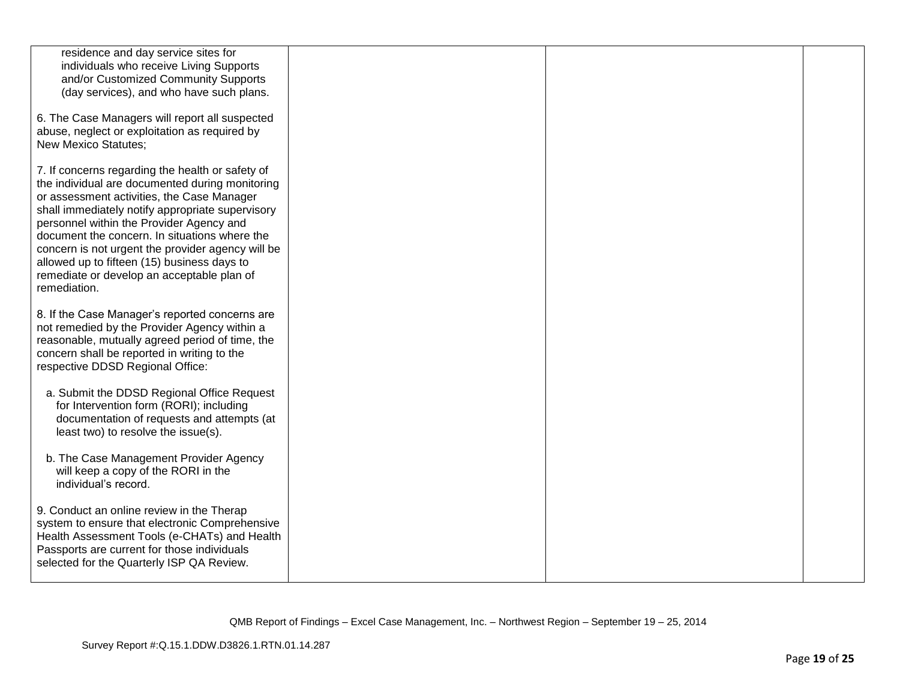| residence and day service sites for<br>individuals who receive Living Supports<br>and/or Customized Community Supports<br>(day services), and who have such plans.                                                                                                                                                                                                                                                                                                   |  |  |
|----------------------------------------------------------------------------------------------------------------------------------------------------------------------------------------------------------------------------------------------------------------------------------------------------------------------------------------------------------------------------------------------------------------------------------------------------------------------|--|--|
| 6. The Case Managers will report all suspected<br>abuse, neglect or exploitation as required by<br><b>New Mexico Statutes;</b>                                                                                                                                                                                                                                                                                                                                       |  |  |
| 7. If concerns regarding the health or safety of<br>the individual are documented during monitoring<br>or assessment activities, the Case Manager<br>shall immediately notify appropriate supervisory<br>personnel within the Provider Agency and<br>document the concern. In situations where the<br>concern is not urgent the provider agency will be<br>allowed up to fifteen (15) business days to<br>remediate or develop an acceptable plan of<br>remediation. |  |  |
| 8. If the Case Manager's reported concerns are<br>not remedied by the Provider Agency within a<br>reasonable, mutually agreed period of time, the<br>concern shall be reported in writing to the<br>respective DDSD Regional Office:                                                                                                                                                                                                                                 |  |  |
| a. Submit the DDSD Regional Office Request<br>for Intervention form (RORI); including<br>documentation of requests and attempts (at<br>least two) to resolve the issue(s).                                                                                                                                                                                                                                                                                           |  |  |
| b. The Case Management Provider Agency<br>will keep a copy of the RORI in the<br>individual's record.                                                                                                                                                                                                                                                                                                                                                                |  |  |
| 9. Conduct an online review in the Therap<br>system to ensure that electronic Comprehensive<br>Health Assessment Tools (e-CHATs) and Health<br>Passports are current for those individuals<br>selected for the Quarterly ISP QA Review.                                                                                                                                                                                                                              |  |  |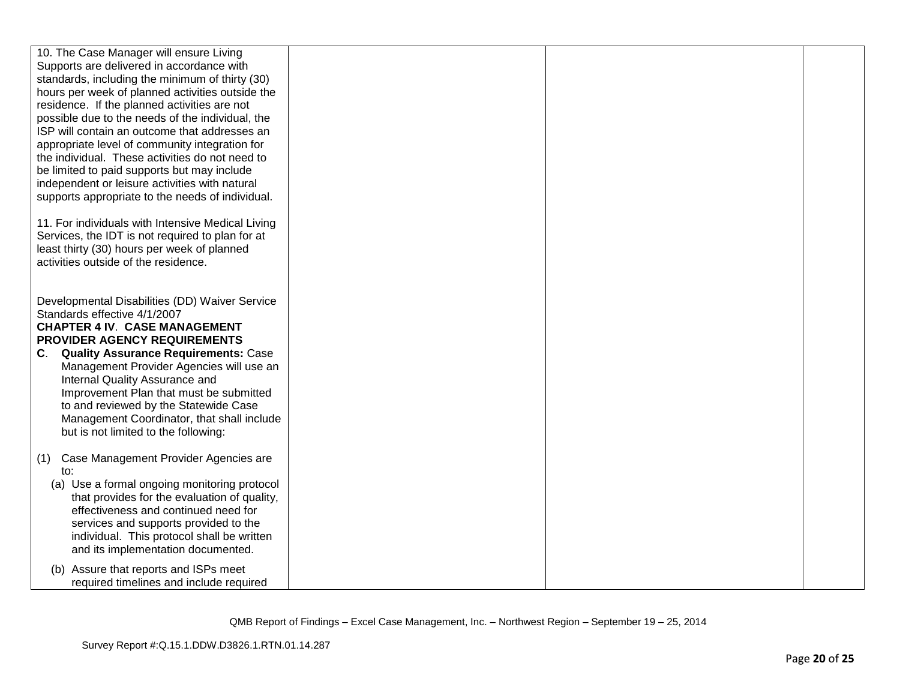| 10. The Case Manager will ensure Living                                                      |  |  |
|----------------------------------------------------------------------------------------------|--|--|
| Supports are delivered in accordance with<br>standards, including the minimum of thirty (30) |  |  |
| hours per week of planned activities outside the                                             |  |  |
| residence. If the planned activities are not                                                 |  |  |
| possible due to the needs of the individual, the                                             |  |  |
| ISP will contain an outcome that addresses an                                                |  |  |
| appropriate level of community integration for                                               |  |  |
| the individual. These activities do not need to                                              |  |  |
| be limited to paid supports but may include                                                  |  |  |
| independent or leisure activities with natural                                               |  |  |
| supports appropriate to the needs of individual.                                             |  |  |
|                                                                                              |  |  |
| 11. For individuals with Intensive Medical Living                                            |  |  |
| Services, the IDT is not required to plan for at                                             |  |  |
| least thirty (30) hours per week of planned                                                  |  |  |
| activities outside of the residence.                                                         |  |  |
|                                                                                              |  |  |
| Developmental Disabilities (DD) Waiver Service                                               |  |  |
| Standards effective 4/1/2007                                                                 |  |  |
| <b>CHAPTER 4 IV. CASE MANAGEMENT</b>                                                         |  |  |
| PROVIDER AGENCY REQUIREMENTS                                                                 |  |  |
| <b>Quality Assurance Requirements: Case</b><br>C.                                            |  |  |
| Management Provider Agencies will use an                                                     |  |  |
| Internal Quality Assurance and                                                               |  |  |
| Improvement Plan that must be submitted                                                      |  |  |
| to and reviewed by the Statewide Case                                                        |  |  |
| Management Coordinator, that shall include                                                   |  |  |
| but is not limited to the following:                                                         |  |  |
|                                                                                              |  |  |
| Case Management Provider Agencies are<br>(1)                                                 |  |  |
| to:<br>(a) Use a formal ongoing monitoring protocol                                          |  |  |
| that provides for the evaluation of quality,                                                 |  |  |
| effectiveness and continued need for                                                         |  |  |
| services and supports provided to the                                                        |  |  |
| individual. This protocol shall be written                                                   |  |  |
| and its implementation documented.                                                           |  |  |
| (b) Assure that reports and ISPs meet                                                        |  |  |
| required timelines and include required                                                      |  |  |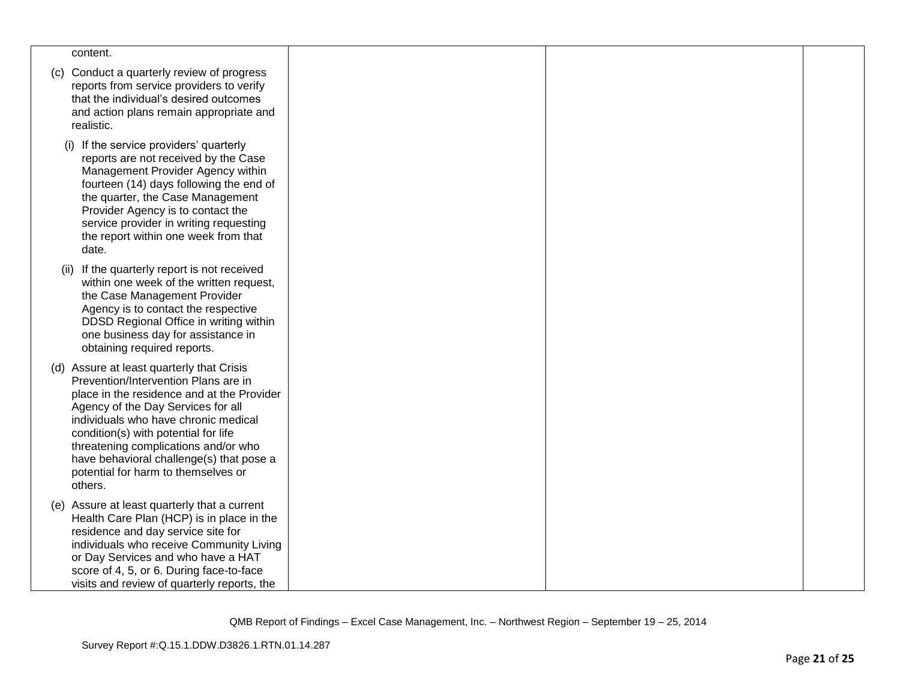| content.                                                                                                                                                                                                                                                                                                                                                                                    |  |  |
|---------------------------------------------------------------------------------------------------------------------------------------------------------------------------------------------------------------------------------------------------------------------------------------------------------------------------------------------------------------------------------------------|--|--|
| (c) Conduct a quarterly review of progress<br>reports from service providers to verify<br>that the individual's desired outcomes<br>and action plans remain appropriate and<br>realistic.                                                                                                                                                                                                   |  |  |
| (i) If the service providers' quarterly<br>reports are not received by the Case<br>Management Provider Agency within<br>fourteen (14) days following the end of<br>the quarter, the Case Management<br>Provider Agency is to contact the<br>service provider in writing requesting<br>the report within one week from that<br>date.                                                         |  |  |
| If the quarterly report is not received<br>(ii)<br>within one week of the written request,<br>the Case Management Provider<br>Agency is to contact the respective<br>DDSD Regional Office in writing within<br>one business day for assistance in<br>obtaining required reports.                                                                                                            |  |  |
| (d) Assure at least quarterly that Crisis<br>Prevention/Intervention Plans are in<br>place in the residence and at the Provider<br>Agency of the Day Services for all<br>individuals who have chronic medical<br>condition(s) with potential for life<br>threatening complications and/or who<br>have behavioral challenge(s) that pose a<br>potential for harm to themselves or<br>others. |  |  |
| (e) Assure at least quarterly that a current<br>Health Care Plan (HCP) is in place in the<br>residence and day service site for<br>individuals who receive Community Living<br>or Day Services and who have a HAT<br>score of 4, 5, or 6. During face-to-face<br>visits and review of quarterly reports, the                                                                                |  |  |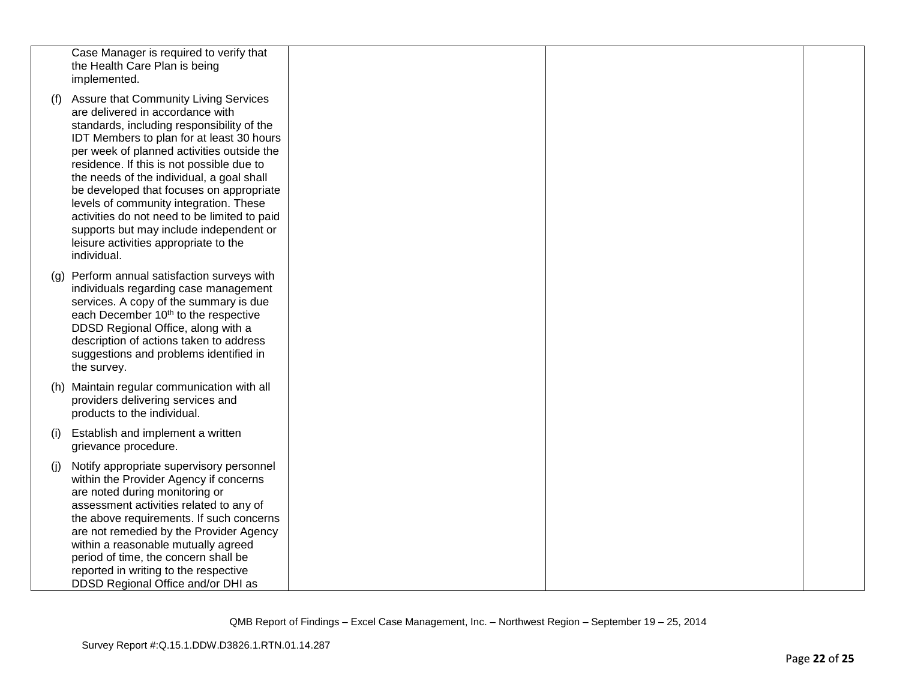|     | Case Manager is required to verify that<br>the Health Care Plan is being<br>implemented.                                                                                                                                                                                                                                                                                                                                                                                                                                                              |  |  |
|-----|-------------------------------------------------------------------------------------------------------------------------------------------------------------------------------------------------------------------------------------------------------------------------------------------------------------------------------------------------------------------------------------------------------------------------------------------------------------------------------------------------------------------------------------------------------|--|--|
| (f) | Assure that Community Living Services<br>are delivered in accordance with<br>standards, including responsibility of the<br>IDT Members to plan for at least 30 hours<br>per week of planned activities outside the<br>residence. If this is not possible due to<br>the needs of the individual, a goal shall<br>be developed that focuses on appropriate<br>levels of community integration. These<br>activities do not need to be limited to paid<br>supports but may include independent or<br>leisure activities appropriate to the<br>individual. |  |  |
|     | (g) Perform annual satisfaction surveys with<br>individuals regarding case management<br>services. A copy of the summary is due<br>each December 10 <sup>th</sup> to the respective<br>DDSD Regional Office, along with a<br>description of actions taken to address<br>suggestions and problems identified in<br>the survey.                                                                                                                                                                                                                         |  |  |
|     | (h) Maintain regular communication with all<br>providers delivering services and<br>products to the individual.                                                                                                                                                                                                                                                                                                                                                                                                                                       |  |  |
| (i) | Establish and implement a written<br>grievance procedure.                                                                                                                                                                                                                                                                                                                                                                                                                                                                                             |  |  |
| (i) | Notify appropriate supervisory personnel<br>within the Provider Agency if concerns<br>are noted during monitoring or<br>assessment activities related to any of<br>the above requirements. If such concerns<br>are not remedied by the Provider Agency<br>within a reasonable mutually agreed<br>period of time, the concern shall be<br>reported in writing to the respective<br>DDSD Regional Office and/or DHI as                                                                                                                                  |  |  |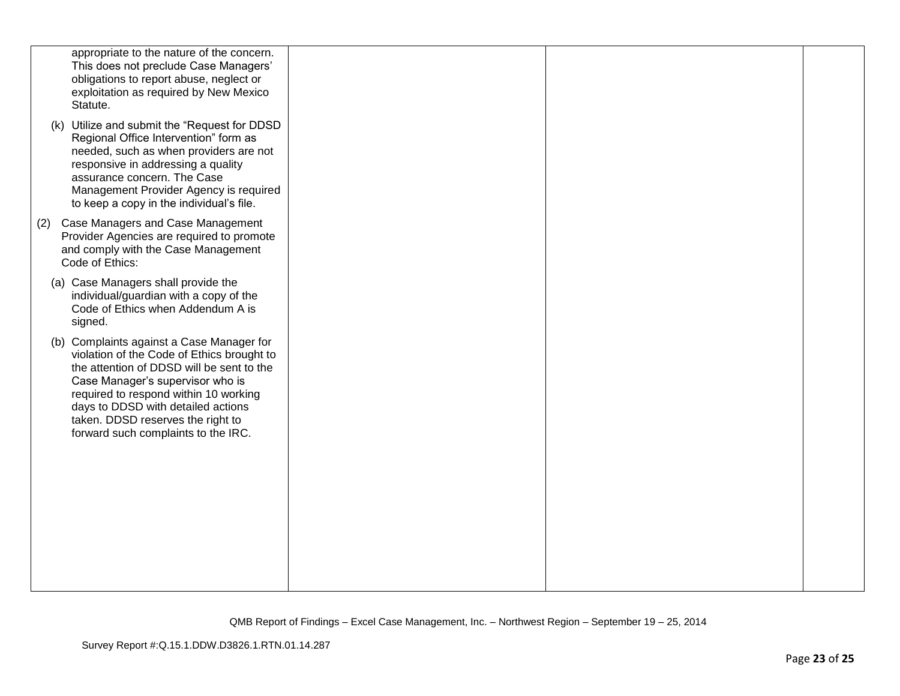|     | appropriate to the nature of the concern.<br>This does not preclude Case Managers'<br>obligations to report abuse, neglect or<br>exploitation as required by New Mexico<br>Statute.                                                                                                                                                 |  |  |
|-----|-------------------------------------------------------------------------------------------------------------------------------------------------------------------------------------------------------------------------------------------------------------------------------------------------------------------------------------|--|--|
|     | (k) Utilize and submit the "Request for DDSD<br>Regional Office Intervention" form as<br>needed, such as when providers are not<br>responsive in addressing a quality<br>assurance concern. The Case<br>Management Provider Agency is required<br>to keep a copy in the individual's file.                                          |  |  |
| (2) | Case Managers and Case Management<br>Provider Agencies are required to promote<br>and comply with the Case Management<br>Code of Ethics:                                                                                                                                                                                            |  |  |
|     | (a) Case Managers shall provide the<br>individual/guardian with a copy of the<br>Code of Ethics when Addendum A is<br>signed.                                                                                                                                                                                                       |  |  |
|     | (b) Complaints against a Case Manager for<br>violation of the Code of Ethics brought to<br>the attention of DDSD will be sent to the<br>Case Manager's supervisor who is<br>required to respond within 10 working<br>days to DDSD with detailed actions<br>taken. DDSD reserves the right to<br>forward such complaints to the IRC. |  |  |
|     |                                                                                                                                                                                                                                                                                                                                     |  |  |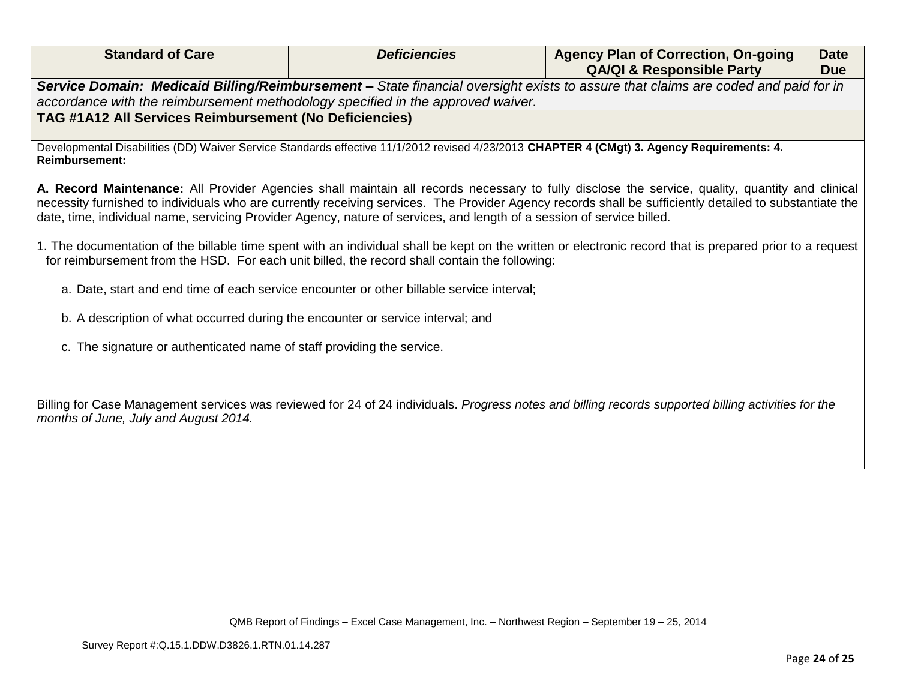| <b>Standard of Care</b>                                                                                                                                             | <b>Deficiencies</b>                                                                           | <b>Agency Plan of Correction, On-going</b><br><b>QA/QI &amp; Responsible Party</b>                                                                                                                                                                                                                         | <b>Date</b><br><b>Due</b> |
|---------------------------------------------------------------------------------------------------------------------------------------------------------------------|-----------------------------------------------------------------------------------------------|------------------------------------------------------------------------------------------------------------------------------------------------------------------------------------------------------------------------------------------------------------------------------------------------------------|---------------------------|
|                                                                                                                                                                     |                                                                                               | Service Domain: Medicaid Billing/Reimbursement - State financial oversight exists to assure that claims are coded and paid for in                                                                                                                                                                          |                           |
| accordance with the reimbursement methodology specified in the approved waiver.                                                                                     |                                                                                               |                                                                                                                                                                                                                                                                                                            |                           |
| TAG #1A12 All Services Reimbursement (No Deficiencies)                                                                                                              |                                                                                               |                                                                                                                                                                                                                                                                                                            |                           |
| Developmental Disabilities (DD) Waiver Service Standards effective 11/1/2012 revised 4/23/2013 CHAPTER 4 (CMgt) 3. Agency Requirements: 4.<br><b>Reimbursement:</b> |                                                                                               |                                                                                                                                                                                                                                                                                                            |                           |
| date, time, individual name, servicing Provider Agency, nature of services, and length of a session of service billed.                                              |                                                                                               | A. Record Maintenance: All Provider Agencies shall maintain all records necessary to fully disclose the service, quality, quantity and clinical<br>necessity furnished to individuals who are currently receiving services. The Provider Agency records shall be sufficiently detailed to substantiate the |                           |
|                                                                                                                                                                     | for reimbursement from the HSD. For each unit billed, the record shall contain the following: | 1. The documentation of the billable time spent with an individual shall be kept on the written or electronic record that is prepared prior to a request                                                                                                                                                   |                           |
|                                                                                                                                                                     | a. Date, start and end time of each service encounter or other billable service interval;     |                                                                                                                                                                                                                                                                                                            |                           |
| b. A description of what occurred during the encounter or service interval; and                                                                                     |                                                                                               |                                                                                                                                                                                                                                                                                                            |                           |
| c. The signature or authenticated name of staff providing the service.                                                                                              |                                                                                               |                                                                                                                                                                                                                                                                                                            |                           |
|                                                                                                                                                                     |                                                                                               |                                                                                                                                                                                                                                                                                                            |                           |
| months of June, July and August 2014.                                                                                                                               |                                                                                               | Billing for Case Management services was reviewed for 24 of 24 individuals. Progress notes and billing records supported billing activities for the                                                                                                                                                        |                           |
|                                                                                                                                                                     |                                                                                               |                                                                                                                                                                                                                                                                                                            |                           |